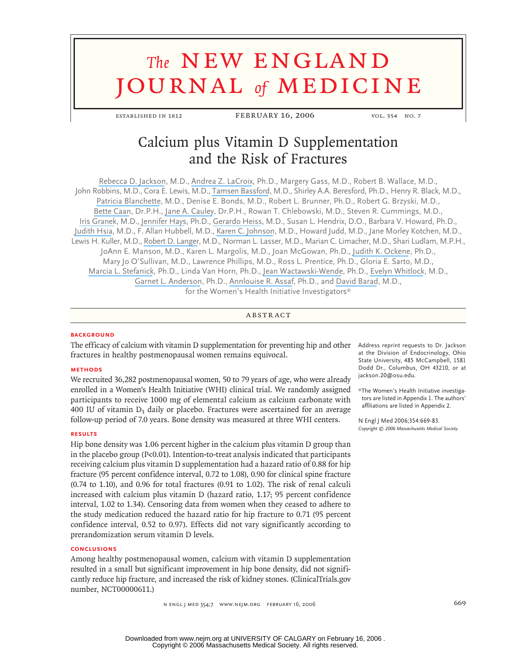# **The NEW ENGLAND** journal *of* medicine

ESTABLISHED IN 1812 **FEBRUARY 16, 2006** vol. 354 No. 7

## Calcium plus Vitamin D Supplementation and the Risk of Fractures

[Rebecca D. Jackson](https://www.researchgate.net/profile/Rebecca_Jackson2?el=1_x_100&enrichId=rgreq-5e1d76f5c351ae594c8e58e10fef8da5-XXX&enrichSource=Y292ZXJQYWdlOzcyOTQ3MDg7QVM6OTcyNDQ4MDQwMjYzNjhAMTQwMDE5NjM3NjE2Mw==), M.D., [Andrea Z. LaCroix](https://www.researchgate.net/profile/Andrea_Lacroix?el=1_x_100&enrichId=rgreq-5e1d76f5c351ae594c8e58e10fef8da5-XXX&enrichSource=Y292ZXJQYWdlOzcyOTQ3MDg7QVM6OTcyNDQ4MDQwMjYzNjhAMTQwMDE5NjM3NjE2Mw==), Ph.D., Margery Gass, M.D., Robert B. Wallace, M.D., John Robbins, M.D., Cora E. Lewis, M.D., [Tamsen Bassford](https://www.researchgate.net/profile/Tamsen_Bassford2?el=1_x_100&enrichId=rgreq-5e1d76f5c351ae594c8e58e10fef8da5-XXX&enrichSource=Y292ZXJQYWdlOzcyOTQ3MDg7QVM6OTcyNDQ4MDQwMjYzNjhAMTQwMDE5NjM3NjE2Mw==), M.D., Shirley A.A. Beresford, Ph.D., Henry R. Black, M.D., [Patricia Blanchette](https://www.researchgate.net/profile/Patricia_Blanchette?el=1_x_100&enrichId=rgreq-5e1d76f5c351ae594c8e58e10fef8da5-XXX&enrichSource=Y292ZXJQYWdlOzcyOTQ3MDg7QVM6OTcyNDQ4MDQwMjYzNjhAMTQwMDE5NjM3NjE2Mw==), M.D., Denise E. Bonds, M.D., Robert L. Brunner, Ph.D., Robert G. Brzyski, M.D., [Bette Caan](https://www.researchgate.net/profile/Bette_Caan?el=1_x_100&enrichId=rgreq-5e1d76f5c351ae594c8e58e10fef8da5-XXX&enrichSource=Y292ZXJQYWdlOzcyOTQ3MDg7QVM6OTcyNDQ4MDQwMjYzNjhAMTQwMDE5NjM3NjE2Mw==), Dr.P.H., [Jane A. Cauley](https://www.researchgate.net/profile/Jane_Cauley?el=1_x_100&enrichId=rgreq-5e1d76f5c351ae594c8e58e10fef8da5-XXX&enrichSource=Y292ZXJQYWdlOzcyOTQ3MDg7QVM6OTcyNDQ4MDQwMjYzNjhAMTQwMDE5NjM3NjE2Mw==), Dr.P.H., Rowan T. Chlebowski, M.D., Steven R. Cummings, M.D., [Iris Granek](https://www.researchgate.net/profile/Iris_Granek?el=1_x_100&enrichId=rgreq-5e1d76f5c351ae594c8e58e10fef8da5-XXX&enrichSource=Y292ZXJQYWdlOzcyOTQ3MDg7QVM6OTcyNDQ4MDQwMjYzNjhAMTQwMDE5NjM3NjE2Mw==), M.D., [Jennifer Hays](https://www.researchgate.net/profile/Jennifer_Hays?el=1_x_100&enrichId=rgreq-5e1d76f5c351ae594c8e58e10fef8da5-XXX&enrichSource=Y292ZXJQYWdlOzcyOTQ3MDg7QVM6OTcyNDQ4MDQwMjYzNjhAMTQwMDE5NjM3NjE2Mw==), Ph.D., [Gerardo Heiss](https://www.researchgate.net/profile/Gerardo_Heiss?el=1_x_100&enrichId=rgreq-5e1d76f5c351ae594c8e58e10fef8da5-XXX&enrichSource=Y292ZXJQYWdlOzcyOTQ3MDg7QVM6OTcyNDQ4MDQwMjYzNjhAMTQwMDE5NjM3NjE2Mw==), M.D., Susan L. Hendrix, D.O., Barbara V. Howard, Ph.D., [Judith Hsia](https://www.researchgate.net/profile/Judith_Hsia?el=1_x_100&enrichId=rgreq-5e1d76f5c351ae594c8e58e10fef8da5-XXX&enrichSource=Y292ZXJQYWdlOzcyOTQ3MDg7QVM6OTcyNDQ4MDQwMjYzNjhAMTQwMDE5NjM3NjE2Mw==), M.D., F. Allan Hubbell, M.D., [Karen C. Johnson](https://www.researchgate.net/profile/Karen_Johnson17?el=1_x_100&enrichId=rgreq-5e1d76f5c351ae594c8e58e10fef8da5-XXX&enrichSource=Y292ZXJQYWdlOzcyOTQ3MDg7QVM6OTcyNDQ4MDQwMjYzNjhAMTQwMDE5NjM3NjE2Mw==), M.D., Howard Judd, M.D., Jane Morley Kotchen, M.D., Lewis H. Kuller, M.D., [Robert D. Langer](https://www.researchgate.net/profile/Robert_Langer?el=1_x_100&enrichId=rgreq-5e1d76f5c351ae594c8e58e10fef8da5-XXX&enrichSource=Y292ZXJQYWdlOzcyOTQ3MDg7QVM6OTcyNDQ4MDQwMjYzNjhAMTQwMDE5NjM3NjE2Mw==), M.D., Norman L. Lasser, M.D., Marian C. Limacher, M.D., Shari Ludlam, M.P.H., JoAnn E. Manson, M.D., Karen L. Margolis, M.D., Joan McGowan, Ph.D., [Judith K. Ockene](https://www.researchgate.net/profile/Judith_Ockene?el=1_x_100&enrichId=rgreq-5e1d76f5c351ae594c8e58e10fef8da5-XXX&enrichSource=Y292ZXJQYWdlOzcyOTQ3MDg7QVM6OTcyNDQ4MDQwMjYzNjhAMTQwMDE5NjM3NjE2Mw==), Ph.D., Mary Jo O'Sullivan, M.D., Lawrence Phillips, M.D., Ross L. Prentice, Ph.D., Gloria E. Sarto, M.D., [Marcia L. Stefanick](https://www.researchgate.net/profile/Marcia_Stefanick?el=1_x_100&enrichId=rgreq-5e1d76f5c351ae594c8e58e10fef8da5-XXX&enrichSource=Y292ZXJQYWdlOzcyOTQ3MDg7QVM6OTcyNDQ4MDQwMjYzNjhAMTQwMDE5NjM3NjE2Mw==), Ph.D., Linda Van Horn, Ph.D., [Jean Wactawski-Wende](https://www.researchgate.net/profile/Jean_Wactawski-Wende?el=1_x_100&enrichId=rgreq-5e1d76f5c351ae594c8e58e10fef8da5-XXX&enrichSource=Y292ZXJQYWdlOzcyOTQ3MDg7QVM6OTcyNDQ4MDQwMjYzNjhAMTQwMDE5NjM3NjE2Mw==), Ph.D., [Evelyn Whitlock](https://www.researchgate.net/profile/Evelyn_Whitlock?el=1_x_100&enrichId=rgreq-5e1d76f5c351ae594c8e58e10fef8da5-XXX&enrichSource=Y292ZXJQYWdlOzcyOTQ3MDg7QVM6OTcyNDQ4MDQwMjYzNjhAMTQwMDE5NjM3NjE2Mw==), M.D., [Garnet L. Anderson](https://www.researchgate.net/profile/Garnet_Anderson?el=1_x_100&enrichId=rgreq-5e1d76f5c351ae594c8e58e10fef8da5-XXX&enrichSource=Y292ZXJQYWdlOzcyOTQ3MDg7QVM6OTcyNDQ4MDQwMjYzNjhAMTQwMDE5NjM3NjE2Mw==), Ph.D., [Annlouise R. Assaf](https://www.researchgate.net/profile/Assaf_Annlouise?el=1_x_100&enrichId=rgreq-5e1d76f5c351ae594c8e58e10fef8da5-XXX&enrichSource=Y292ZXJQYWdlOzcyOTQ3MDg7QVM6OTcyNDQ4MDQwMjYzNjhAMTQwMDE5NjM3NjE2Mw==), Ph.D., and [David Barad](https://www.researchgate.net/profile/David_Barad?el=1_x_100&enrichId=rgreq-5e1d76f5c351ae594c8e58e10fef8da5-XXX&enrichSource=Y292ZXJQYWdlOzcyOTQ3MDg7QVM6OTcyNDQ4MDQwMjYzNjhAMTQwMDE5NjM3NjE2Mw==), M.D., for the Women's Health Initiative Investigators\*

#### ABSTRACT

#### **BACKGROUND**

The efficacy of calcium with vitamin D supplementation for preventing hip and other Address reprint requests to Dr. Jackson fractures in healthy postmenopausal women remains equivocal.

#### **Methods**

We recruited 36,282 postmenopausal women, 50 to 79 years of age, who were already enrolled in a Women's Health Initiative (WHI) clinical trial. We randomly assigned participants to receive 1000 mg of elemental calcium as calcium carbonate with 400 IU of vitamin  $D_3$  daily or placebo. Fractures were ascertained for an average follow-up period of 7.0 years. Bone density was measured at three WHI centers.

#### **Results**

Hip bone density was 1.06 percent higher in the calcium plus vitamin D group than in the placebo group (P<0.01). Intention-to-treat analysis indicated that participants receiving calcium plus vitamin D supplementation had a hazard ratio of 0.88 for hip fracture (95 percent confidence interval, 0.72 to 1.08), 0.90 for clinical spine fracture (0.74 to 1.10), and 0.96 for total fractures (0.91 to 1.02). The risk of renal calculi increased with calcium plus vitamin D (hazard ratio, 1.17; 95 percent confidence interval, 1.02 to 1.34). Censoring data from women when they ceased to adhere to the study medication reduced the hazard ratio for hip fracture to 0.71 (95 percent confidence interval, 0.52 to 0.97). Effects did not vary significantly according to prerandomization serum vitamin D levels.

#### **Conclusions**

Among healthy postmenopausal women, calcium with vitamin D supplementation resulted in a small but significant improvement in hip bone density, did not significantly reduce hip fracture, and increased the risk of kidney stones. (ClinicalTrials.gov number, NCT00000611.)

n engl j med 354;7 www.nejm.org february 16, 2006 669

at the Division of Endocrinology, Ohio State University, 485 McCampbell, 1581 Dodd Dr., Columbus, OH 43210, or at jackson.20@osu.edu.

\*The Women's Health Initiative investigators are listed in Appendix 1. The authors' affiliations are listed in Appendix 2.

N Engl J Med 2006;354:669-83. *Copyright © 2006 Massachusetts Medical Society.*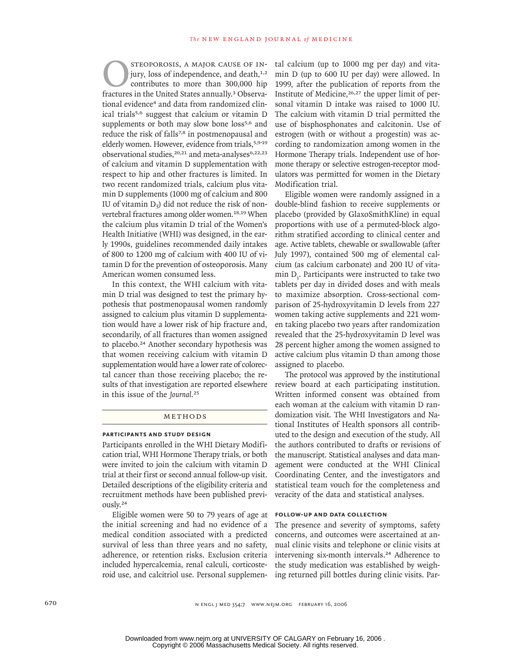**CONSEGATE STEOPOROSIS, A MAJOR CAUSE OF IN-**<br>
ontributes to more than 300,000 hip<br>
fractures in the United States annually.<sup>3</sup> Observajury, loss of independence, and death,<sup>1,2</sup> contributes to more than 300,000 hip fractures in the United States annually.<sup>3</sup> Observational evidence<sup>4</sup> and data from randomized clinical trials5,6 suggest that calcium or vitamin D supplements or both may slow bone loss<sup>5,6</sup> and reduce the risk of falls<sup>7,8</sup> in postmenopausal and elderly women. However, evidence from trials,<sup>5,9-19</sup> observational studies,<sup>20,21</sup> and meta-analyses<sup>6,22,23</sup> of calcium and vitamin D supplementation with respect to hip and other fractures is limited. In two recent randomized trials, calcium plus vitamin D supplements (1000 mg of calcium and 800 IU of vitamin  $D_3$ ) did not reduce the risk of nonvertebral fractures among older women.<sup>18,19</sup> When the calcium plus vitamin D trial of the Women's Health Initiative (WHI) was designed, in the early 1990s, guidelines recommended daily intakes of 800 to 1200 mg of calcium with 400 IU of vitamin D for the prevention of osteoporosis. Many American women consumed less.

In this context, the WHI calcium with vitamin D trial was designed to test the primary hypothesis that postmenopausal women randomly assigned to calcium plus vitamin D supplementation would have a lower risk of hip fracture and, secondarily, of all fractures than women assigned to placebo.<sup>24</sup> Another secondary hypothesis was that women receiving calcium with vitamin D supplementation would have a lower rate of colorectal cancer than those receiving placebo; the results of that investigation are reported elsewhere in this issue of the *Journal*. 25

#### Methods

#### **Participants and Study Design**

Participants enrolled in the WHI Dietary Modification trial, WHI Hormone Therapy trials, or both were invited to join the calcium with vitamin D trial at their first or second annual follow-up visit. Detailed descriptions of the eligibility criteria and recruitment methods have been published previously.<sup>24</sup>

Eligible women were 50 to 79 years of age at the initial screening and had no evidence of a medical condition associated with a predicted survival of less than three years and no safety, adherence, or retention risks. Exclusion criteria included hypercalcemia, renal calculi, corticosteroid use, and calcitriol use. Personal supplemen-

tal calcium (up to 1000 mg per day) and vitamin D (up to 600 IU per day) were allowed. In 1999, after the publication of reports from the Institute of Medicine,  $26,27$  the upper limit of personal vitamin D intake was raised to 1000 IU. The calcium with vitamin D trial permitted the use of bisphosphonates and calcitonin. Use of estrogen (with or without a progestin) was according to randomization among women in the Hormone Therapy trials. Independent use of hormone therapy or selective estrogen-receptor modulators was permitted for women in the Dietary Modification trial.

Eligible women were randomly assigned in a double-blind fashion to receive supplements or placebo (provided by GlaxoSmithKline) in equal proportions with use of a permuted-block algorithm stratified according to clinical center and age. Active tablets, chewable or swallowable (after July 1997), contained 500 mg of elemental calcium (as calcium carbonate) and 200 IU of vita- $\min D_3$ . Participants were instructed to take two tablets per day in divided doses and with meals to maximize absorption. Cross-sectional comparison of 25-hydroxyvitamin D levels from 227 women taking active supplements and 221 women taking placebo two years after randomization revealed that the 25-hydroxyvitamin D level was 28 percent higher among the women assigned to active calcium plus vitamin D than among those assigned to placebo.

The protocol was approved by the institutional review board at each participating institution. Written informed consent was obtained from each woman at the calcium with vitamin D randomization visit. The WHI Investigators and National Institutes of Health sponsors all contributed to the design and execution of the study. All the authors contributed to drafts or revisions of the manuscript. Statistical analyses and data management were conducted at the WHI Clinical Coordinating Center, and the investigators and statistical team vouch for the completeness and veracity of the data and statistical analyses.

#### **Follow-up and Data Collection**

The presence and severity of symptoms, safety concerns, and outcomes were ascertained at annual clinic visits and telephone or clinic visits at intervening six-month intervals.<sup>24</sup> Adherence to the study medication was established by weighing returned pill bottles during clinic visits. Par-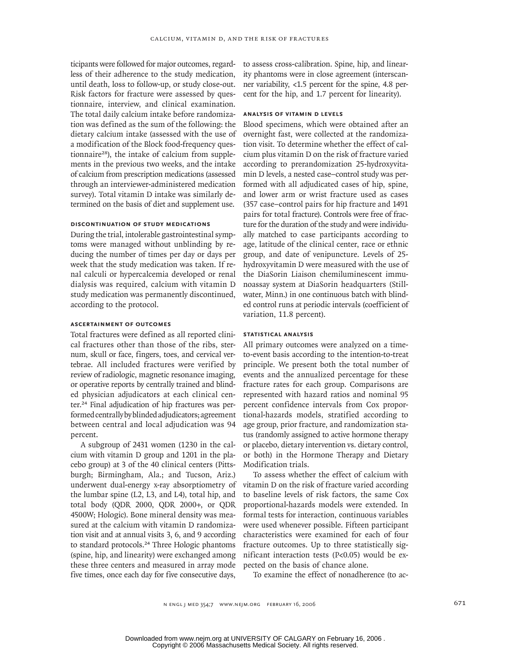ticipants were followed for major outcomes, regardless of their adherence to the study medication, until death, loss to follow-up, or study close-out. Risk factors for fracture were assessed by questionnaire, interview, and clinical examination. The total daily calcium intake before randomization was defined as the sum of the following: the dietary calcium intake (assessed with the use of a modification of the Block food-frequency questionnaire<sup>28</sup>), the intake of calcium from supplements in the previous two weeks, and the intake of calcium from prescription medications (assessed through an interviewer-administered medication survey). Total vitamin D intake was similarly determined on the basis of diet and supplement use.

#### **Discontinuation of Study Medications**

During the trial, intolerable gastrointestinal symptoms were managed without unblinding by reducing the number of times per day or days per week that the study medication was taken. If renal calculi or hypercalcemia developed or renal dialysis was required, calcium with vitamin D study medication was permanently discontinued, according to the protocol.

#### **Ascertainment of Outcomes**

Total fractures were defined as all reported clinical fractures other than those of the ribs, sternum, skull or face, fingers, toes, and cervical vertebrae. All included fractures were verified by review of radiologic, magnetic resonance imaging, or operative reports by centrally trained and blinded physician adjudicators at each clinical center.<sup>24</sup> Final adjudication of hip fractures was performed centrally by blinded adjudicators; agreement between central and local adjudication was 94 percent.

A subgroup of 2431 women (1230 in the calcium with vitamin D group and 1201 in the placebo group) at 3 of the 40 clinical centers (Pittsburgh; Birmingham, Ala.; and Tucson, Ariz.) underwent dual-energy x-ray absorptiometry of the lumbar spine (L2, L3, and L4), total hip, and total body (QDR 2000, QDR 2000+, or QDR 4500W; Hologic). Bone mineral density was measured at the calcium with vitamin D randomization visit and at annual visits 3, 6, and 9 according to standard protocols.<sup>24</sup> Three Hologic phantoms (spine, hip, and linearity) were exchanged among these three centers and measured in array mode five times, once each day for five consecutive days,

to assess cross-calibration. Spine, hip, and linearity phantoms were in close agreement (interscanner variability, <1.5 percent for the spine, 4.8 percent for the hip, and 1.7 percent for linearity).

#### **Analysis of Vitamin D Levels**

Blood specimens, which were obtained after an overnight fast, were collected at the randomization visit. To determine whether the effect of calcium plus vitamin D on the risk of fracture varied according to prerandomization 25-hydroxyvitamin D levels, a nested case–control study was performed with all adjudicated cases of hip, spine, and lower arm or wrist fracture used as cases (357 case–control pairs for hip fracture and 1491 pairs for total fracture). Controls were free of fracture for the duration of the study and were individually matched to case participants according to age, latitude of the clinical center, race or ethnic group, and date of venipuncture. Levels of 25 hydroxyvitamin D were measured with the use of the DiaSorin Liaison chemiluminescent immunoassay system at DiaSorin headquarters (Stillwater, Minn.) in one continuous batch with blinded control runs at periodic intervals (coefficient of variation, 11.8 percent).

#### **Statistical Analysis**

All primary outcomes were analyzed on a timeto-event basis according to the intention-to-treat principle. We present both the total number of events and the annualized percentage for these fracture rates for each group. Comparisons are represented with hazard ratios and nominal 95 percent confidence intervals from Cox proportional-hazards models, stratified according to age group, prior fracture, and randomization status (randomly assigned to active hormone therapy or placebo, dietary intervention vs. dietary control, or both) in the Hormone Therapy and Dietary Modification trials.

To assess whether the effect of calcium with vitamin D on the risk of fracture varied according to baseline levels of risk factors, the same Cox proportional-hazards models were extended. In formal tests for interaction, continuous variables were used whenever possible. Fifteen participant characteristics were examined for each of four fracture outcomes. Up to three statistically significant interaction tests (P<0.05) would be expected on the basis of chance alone.

To examine the effect of nonadherence (to ac-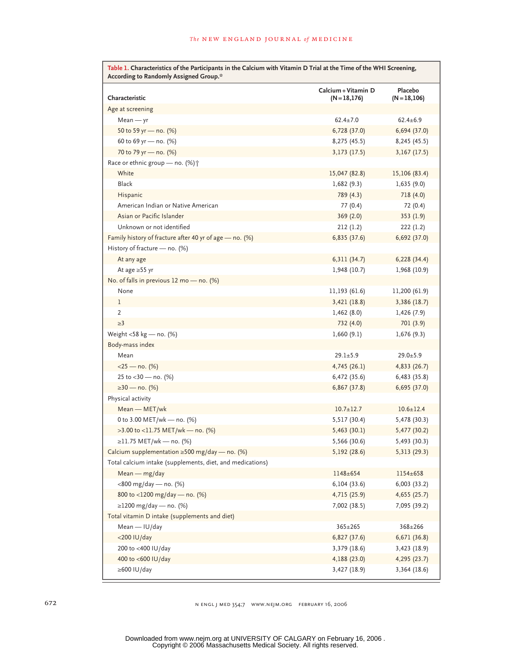| According to Randomly Assigned Group.*                     |                                     |                         |  |  |
|------------------------------------------------------------|-------------------------------------|-------------------------|--|--|
| Characteristic                                             | Calcium + Vitamin D<br>$(N=18,176)$ | Placebo<br>$(N=18,106)$ |  |  |
| Age at screening                                           |                                     |                         |  |  |
| $Mean - yr$                                                | $62.4 \pm 7.0$                      | $62.4 \pm 6.9$          |  |  |
| 50 to 59 yr - no. (%)                                      | 6,728 (37.0)                        | 6,694 (37.0)            |  |  |
| 60 to 69 yr - no. (%)                                      | 8,275 (45.5)                        | 8,245 (45.5)            |  |  |
| 70 to 79 yr - no. (%)                                      | 3,173(17.5)                         | $3,167$ (17.5)          |  |  |
| Race or ethnic group - no. (%) $\dagger$                   |                                     |                         |  |  |
| White                                                      | 15,047 (82.8)                       | 15,106 (83.4)           |  |  |
| <b>Black</b>                                               | 1,682(9.3)                          | 1,635(9.0)              |  |  |
| Hispanic                                                   | 789 (4.3)                           | 718 (4.0)               |  |  |
| American Indian or Native American                         | 77 (0.4)                            | 72 (0.4)                |  |  |
| Asian or Pacific Islander                                  | 369 (2.0)                           | 353 (1.9)               |  |  |
| Unknown or not identified                                  | 212(1.2)                            | 222(1.2)                |  |  |
| Family history of fracture after 40 yr of age - no. (%)    | 6,835 (37.6)                        | 6,692 (37.0)            |  |  |
| History of fracture - no. (%)                              |                                     |                         |  |  |
| At any age                                                 | 6,311 (34.7)                        | 6,228(34.4)             |  |  |
| At age $\geq$ 55 yr                                        | 1,948 (10.7)                        | 1,968 (10.9)            |  |  |
| No. of falls in previous $12 \text{ mo} - \text{no}$ . (%) |                                     |                         |  |  |
| None                                                       | 11,193 (61.6)                       | 11,200 (61.9)           |  |  |
| 1                                                          | 3,421 (18.8)                        | 3,386 (18.7)            |  |  |
| $\overline{2}$                                             | 1,462(8.0)                          | 1,426(7.9)              |  |  |
| $\geq$ 3                                                   | 732 (4.0)                           | 701 (3.9)               |  |  |
| Weight <58 kg - no. (%)                                    | 1,660(9.1)                          | 1,676(9.3)              |  |  |
| Body-mass index                                            |                                     |                         |  |  |
| Mean                                                       | $29.1 \pm 5.9$                      | $29.0 \pm 5.9$          |  |  |
| $<$ 25 — no. (%)                                           | 4,745(26.1)                         | 4,833 (26.7)            |  |  |
| 25 to $<$ 30 — no. (%)                                     | 6,472 (35.6)                        | 6,483 (35.8)            |  |  |
| ≥30 — no. (%)                                              | 6,867 (37.8)                        | 6,695 (37.0)            |  |  |
| Physical activity                                          |                                     |                         |  |  |
| Mean - MET/wk                                              | $10.7 \pm 12.7$                     | $10.6 \pm 12.4$         |  |  |
| 0 to 3.00 MET/wk - no. (%)                                 | 5,517 (30.4)                        | 5,478 (30.3)            |  |  |
| >3.00 to <11.75 MET/wk - no. (%)                           | 5,463(30.1)                         | 5,477 (30.2)            |  |  |
| ≥11.75 MET/wk — no. (%)                                    | 5,566 (30.6)                        | 5,493 (30.3)            |  |  |
| Calcium supplementation $\geq$ 500 mg/day — no. (%)        | 5,192 (28.6)                        | 5,313 (29.3)            |  |  |
| Total calcium intake (supplements, diet, and medications)  |                                     |                         |  |  |
| Mean - mg/day                                              | $1148 \pm 654$                      | $1154 \pm 658$          |  |  |
| $<$ 800 mg/day — no. (%)                                   | 6,104(33.6)                         | 6,003 (33.2)            |  |  |
| 800 to <1200 mg/day - no. (%)                              | 4,715 (25.9)                        | 4,655 (25.7)            |  |  |
| ≥1200 mg/day — no. (%)                                     | 7,002 (38.5)                        | 7,095 (39.2)            |  |  |
| Total vitamin D intake (supplements and diet)              |                                     |                         |  |  |
| $Mean - IU/day$                                            | $365 \pm 265$                       | 368±266                 |  |  |
| <200 IU/day                                                | 6,827 (37.6)                        | 6,671 (36.8)            |  |  |
| 200 to <400 IU/day                                         | 3,379 (18.6)                        | 3,423 (18.9)            |  |  |
| 400 to <600 IU/day                                         | 4,188 (23.0)                        | 4,295 (23.7)            |  |  |
| $\geq 600$ IU/day                                          | 3,427 (18.9)                        | 3,364 (18.6)            |  |  |

**Table 1. Characteristics of the Participants in the Calcium with Vitamin D Trial at the Time of the WHI Screening,**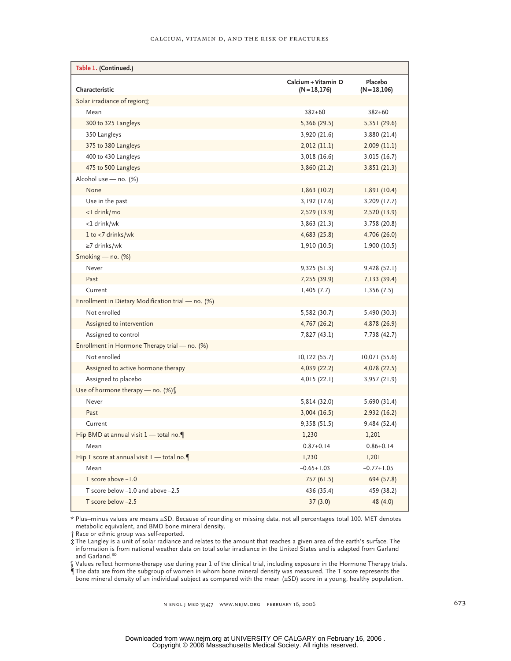#### calcium, vitamin d, and the risk of fractures

| Table 1. (Continued.)                              |                                     |                          |
|----------------------------------------------------|-------------------------------------|--------------------------|
| Characteristic                                     | Calcium + Vitamin D<br>$(N=18,176)$ | Placebo<br>$(N=18, 106)$ |
| Solar irradiance of region;                        |                                     |                          |
| Mean                                               | $382 + 60$                          | 382±60                   |
| 300 to 325 Langleys                                | 5,366 (29.5)                        | 5,351 (29.6)             |
| 350 Langleys                                       | 3,920 (21.6)                        | 3,880 (21.4)             |
| 375 to 380 Langleys                                | 2,012(11.1)                         | 2,009(11.1)              |
| 400 to 430 Langleys                                | 3,018 (16.6)                        | 3,015 (16.7)             |
| 475 to 500 Langleys                                | 3,860 (21.2)                        | 3,851 (21.3)             |
| Alcohol use - no. (%)                              |                                     |                          |
| None                                               | 1,863(10.2)                         | 1,891(10.4)              |
| Use in the past                                    | 3,192 (17.6)                        | 3,209 (17.7)             |
| <1 drink/mo                                        | 2,529 (13.9)                        | 2,520 (13.9)             |
| <1 drink/wk                                        | 3,863(21.3)                         | 3,758 (20.8)             |
| 1 to <7 drinks/wk                                  | 4,683 (25.8)                        | 4,706 (26.0)             |
| $\geq$ 7 drinks/wk                                 | 1,910(10.5)                         | 1,900(10.5)              |
| Smoking - no. (%)                                  |                                     |                          |
| Never                                              | 9,325 (51.3)                        | 9,428 (52.1)             |
| Past                                               | 7,255 (39.9)                        | 7,133 (39.4)             |
| Current                                            | 1,405(7.7)                          | 1,356(7.5)               |
| Enrollment in Dietary Modification trial - no. (%) |                                     |                          |
| Not enrolled                                       | 5,582 (30.7)                        | 5,490 (30.3)             |
| Assigned to intervention                           | 4,767 (26.2)                        | 4,878 (26.9)             |
| Assigned to control                                | 7,827 (43.1)                        | 7,738 (42.7)             |
| Enrollment in Hormone Therapy trial - no. (%)      |                                     |                          |
| Not enrolled                                       | 10,122(55.7)                        | 10,071 (55.6)            |
| Assigned to active hormone therapy                 | 4,039 (22.2)                        | 4,078 (22.5)             |
| Assigned to placebo                                | 4,015(22.1)                         | 3,957 (21.9)             |
| Use of hormone therapy - no. (%) §                 |                                     |                          |
| Never                                              | 5,814 (32.0)                        | 5,690(31.4)              |
| Past                                               | 3,004(16.5)                         | 2,932 (16.2)             |
| Current                                            | 9,358(51.5)                         | 9,484 (52.4)             |
| Hip BMD at annual visit 1 - total no.              | 1,230                               | 1,201                    |
| Mean                                               | $0.87 \pm 0.14$                     | $0.86 \pm 0.14$          |
| Hip T score at annual visit $1$ - total no.        | 1,230                               | 1,201                    |
| Mean                                               | $-0.65 \pm 1.03$                    | $-0.77 \pm 1.05$         |
| T score above -1.0                                 | 757 (61.5)                          | 694 (57.8)               |
| T score below -1.0 and above -2.5                  | 436 (35.4)                          | 459 (38.2)               |
| T score below -2.5                                 | 37(3.0)                             | 48 (4.0)                 |

\* Plus–minus values are means ±SD. Because of rounding or missing data, not all percentages total 100. MET denotes metabolic equivalent, and BMD bone mineral density.

† Race or ethnic group was self-reported.

 $\dot{\ddot{x}}$  The Langley is a unit of solar radiance and relates to the amount that reaches a given area of the earth's surface. The information is from national weather data on total solar irradiance in the United States and is adapted from Garland and Garland.<sup>30</sup>

§ Values reflect hormone-therapy use during year 1 of the clinical trial, including exposure in the Hormone Therapy trials.  $\H\P$ The data are from the subgroup of women in whom bone mineral density was measured. The T score represents the

bone mineral density of an individual subject as compared with the mean (±SD) score in a young, healthy population.

n engl j med 354;7 www.nejm.org february 16, 2006 673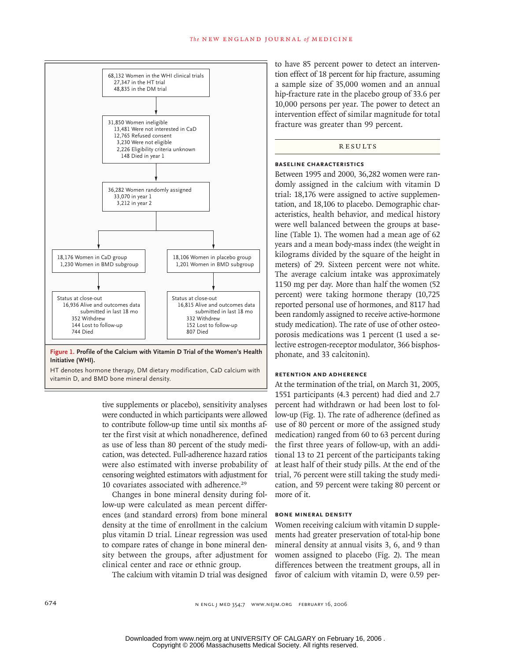

**Figure 1. Profile of the Calcium with Vitamin D Trial of the Women's Health Initiative (WHI).**

HT denotes hormone therapy, DM dietary modification, CaD calcium with vitamin D, and BMD bone mineral density.

> tive supplements or placebo), sensitivity analyses were conducted in which participants were allowed to contribute follow-up time until six months after the first visit at which nonadherence, defined as use of less than 80 percent of the study medication, was detected. Full-adherence hazard ratios were also estimated with inverse probability of censoring weighted estimators with adjustment for 10 covariates associated with adherence.<sup>29</sup>

> Changes in bone mineral density during follow-up were calculated as mean percent differences (and standard errors) from bone mineral density at the time of enrollment in the calcium plus vitamin D trial. Linear regression was used to compare rates of change in bone mineral density between the groups, after adjustment for clinical center and race or ethnic group.

to have 85 percent power to detect an intervention effect of 18 percent for hip fracture, assuming a sample size of 35,000 women and an annual hip-fracture rate in the placebo group of 33.6 per 10,000 persons per year. The power to detect an intervention effect of similar magnitude for total fracture was greater than 99 percent.

#### **RESULTS**

#### **Baseline Characteristics**

Between 1995 and 2000, 36,282 women were randomly assigned in the calcium with vitamin D trial: 18,176 were assigned to active supplementation, and 18,106 to placebo. Demographic characteristics, health behavior, and medical history were well balanced between the groups at baseline (Table 1). The women had a mean age of 62 years and a mean body-mass index (the weight in kilograms divided by the square of the height in meters) of 29. Sixteen percent were not white. The average calcium intake was approximately 1150 mg per day. More than half the women (52 percent) were taking hormone therapy (10,725 reported personal use of hormones, and 8117 had been randomly assigned to receive active-hormone study medication). The rate of use of other osteoporosis medications was 1 percent (1 used a selective estrogen-receptor modulator, 366 bisphosphonate, and 33 calcitonin).

#### **Retention and Adherence**

At the termination of the trial, on March 31, 2005, 1551 participants (4.3 percent) had died and 2.7 percent had withdrawn or had been lost to follow-up (Fig. 1). The rate of adherence (defined as use of 80 percent or more of the assigned study medication) ranged from 60 to 63 percent during the first three years of follow-up, with an additional 13 to 21 percent of the participants taking at least half of their study pills. At the end of the trial, 76 percent were still taking the study medication, and 59 percent were taking 80 percent or more of it.

#### **Bone Mineral Density**

The calcium with vitamin D trial was designed favor of calcium with vitamin D, were 0.59 per-Women receiving calcium with vitamin D supplements had greater preservation of total-hip bone mineral density at annual visits 3, 6, and 9 than women assigned to placebo (Fig. 2). The mean differences between the treatment groups, all in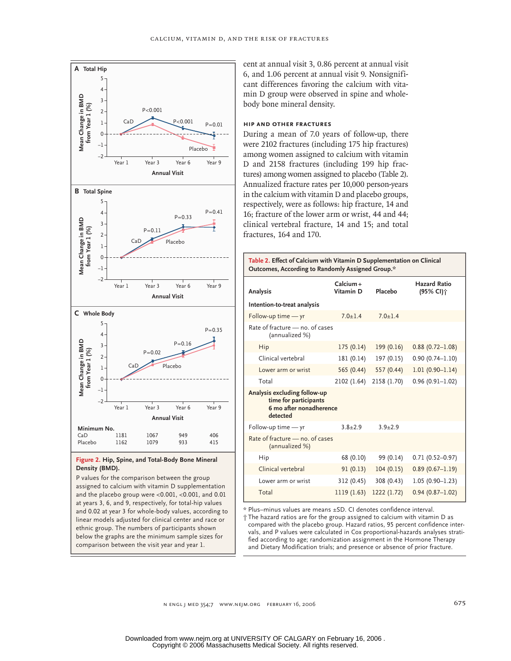

#### **Figure 2. Hip, Spine, and Total-Body Bone Mineral Density (BMD).**

P values for the comparison between the group assigned to calcium with vitamin D supplementation and the placebo group were <0.001, <0.001, and 0.01 at years 3, 6, and 9, respectively, for total-hip values and 0.02 at year 3 for whole-body values, according to linear models adjusted for clinical center and race or ethnic group. The numbers of participants shown below the graphs are the minimum sample sizes for comparison between the visit year and year 1.

cent at annual visit 3, 0.86 percent at annual visit 6, and 1.06 percent at annual visit 9. Nonsignificant differences favoring the calcium with vitamin D group were observed in spine and wholebody bone mineral density.

#### **Hip and Other Fractures**

During a mean of 7.0 years of follow-up, there were 2102 fractures (including 175 hip fractures) among women assigned to calcium with vitamin D and 2158 fractures (including 199 hip fractures) among women assigned to placebo (Table 2). Annualized fracture rates per 10,000 person-years in the calcium with vitamin D and placebo groups, respectively, were as follows: hip fracture, 14 and 16; fracture of the lower arm or wrist, 44 and 44; clinical vertebral fracture, 14 and 15; and total fractures, 164 and 170.

| Table 2. Effect of Calcium with Vitamin D Supplementation on Clinical<br>Outcomes, According to Randomly Assigned Group.* |                          |             |                                       |  |
|---------------------------------------------------------------------------------------------------------------------------|--------------------------|-------------|---------------------------------------|--|
| Analysis                                                                                                                  | $Calcium +$<br>Vitamin D | Placebo     | Hazard Ratio<br>(95% CI) <sup>+</sup> |  |
| Intention-to-treat analysis                                                                                               |                          |             |                                       |  |
| Follow-up time - yr                                                                                                       | $7.0 \pm 1.4$            | $7.0 + 1.4$ |                                       |  |
| Rate of fracture - no. of cases<br>(annualized %)                                                                         |                          |             |                                       |  |
| Hip                                                                                                                       | 175(0.14)                | 199(0.16)   | $0.88(0.72 - 1.08)$                   |  |
| Clinical vertebral                                                                                                        | 181 (0.14)               | 197 (0.15)  | $0.90(0.74 - 1.10)$                   |  |
| Lower arm or wrist                                                                                                        | 565 (0.44)               | 557 (0.44)  | $1.01(0.90 - 1.14)$                   |  |
| Total                                                                                                                     | 2102 (1.64)              | 2158 (1.70) | $0.96(0.91 - 1.02)$                   |  |
| Analysis excluding follow-up<br>time for participants<br>6 mo after nonadherence<br>detected                              |                          |             |                                       |  |
| Follow-up time - yr                                                                                                       | $3.8 + 2.9$              | $3.9 + 2.9$ |                                       |  |
| Rate of fracture - no. of cases<br>(annualized %)                                                                         |                          |             |                                       |  |
| Hip                                                                                                                       | 68 (0.10)                | 99 (0.14)   | $0.71(0.52 - 0.97)$                   |  |
| Clinical vertebral                                                                                                        | 91(0.13)                 | 104(0.15)   | $0.89(0.67 - 1.19)$                   |  |
| Lower arm or wrist                                                                                                        | 312(0.45)                | 308 (0.43)  | $1.05(0.90 - 1.23)$                   |  |
| Total                                                                                                                     | 1119(1.63)               | 1222 (1.72) | $0.94(0.87 - 1.02)$                   |  |

\* Plus–minus values are means ±SD. CI denotes confidence interval.

† The hazard ratios are for the group assigned to calcium with vitamin D as compared with the placebo group. Hazard ratios, 95 percent confidence intervals, and P values were calculated in Cox proportional-hazards analyses stratified according to age; randomization assignment in the Hormone Therapy and Dietary Modification trials; and presence or absence of prior fracture.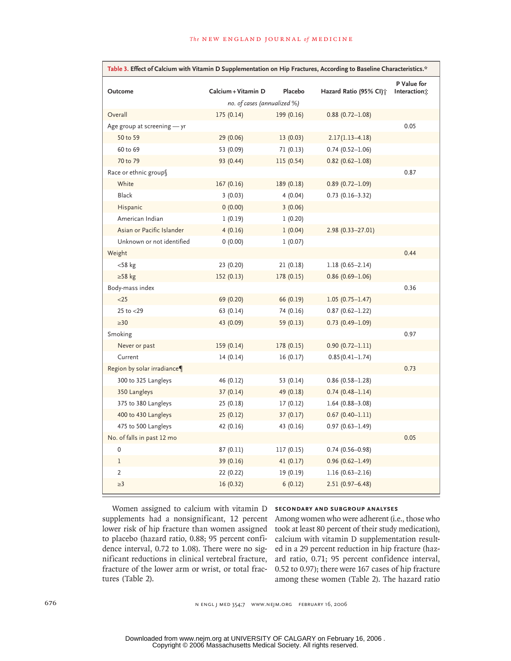| Table 3. Effect of Calcium with Vitamin D Supplementation on Hip Fractures, According to Baseline Characteristics.* |                     |             |                                    |                                         |  |  |
|---------------------------------------------------------------------------------------------------------------------|---------------------|-------------|------------------------------------|-----------------------------------------|--|--|
| Outcome                                                                                                             | Calcium + Vitamin D | Placebo     | Hazard Ratio (95% CI) <sup>+</sup> | P Value for<br>Interaction <sup>*</sup> |  |  |
| no. of cases (annualized %)                                                                                         |                     |             |                                    |                                         |  |  |
| Overall                                                                                                             | 175(0.14)           | 199(0.16)   | $0.88$ (0.72-1.08)                 |                                         |  |  |
| Age group at screening - yr                                                                                         |                     |             |                                    | 0.05                                    |  |  |
| 50 to 59                                                                                                            | 29 (0.06)           | 13(0.03)    | $2.17(1.13 - 4.18)$                |                                         |  |  |
| 60 to 69                                                                                                            | 53 (0.09)           | 71(0.13)    | $0.74(0.52 - 1.06)$                |                                         |  |  |
| 70 to 79                                                                                                            | 93 (0.44)           | 115 (0.54)  | $0.82$ (0.62-1.08)                 |                                         |  |  |
| Race or ethnic group                                                                                                |                     |             |                                    | 0.87                                    |  |  |
| White                                                                                                               | 167(0.16)           | 189 (0.18)  | $0.89(0.72 - 1.09)$                |                                         |  |  |
| <b>Black</b>                                                                                                        | 3(0.03)             | 4(0.04)     | $0.73$ $(0.16 - 3.32)$             |                                         |  |  |
| Hispanic                                                                                                            | 0(0.00)             | 3(0.06)     |                                    |                                         |  |  |
| American Indian                                                                                                     | 1(0.19)             | 1(0.20)     |                                    |                                         |  |  |
| Asian or Pacific Islander                                                                                           | 4(0.16)             | 1(0.04)     | $2.98(0.33 - 27.01)$               |                                         |  |  |
| Unknown or not identified                                                                                           | 0(0.00)             | 1(0.07)     |                                    |                                         |  |  |
| Weight                                                                                                              |                     |             |                                    | 0.44                                    |  |  |
| $<$ 58 $kg$                                                                                                         | 23 (0.20)           | 21(0.18)    | $1.18(0.65 - 2.14)$                |                                         |  |  |
| $\geq$ 58 kg                                                                                                        | 152(0.13)           | 178 (0.15)  | $0.86$ (0.69-1.06)                 |                                         |  |  |
| Body-mass index                                                                                                     |                     |             |                                    | 0.36                                    |  |  |
| $<$ 25                                                                                                              | 69 (0.20)           | 66 (0.19)   | $1.05(0.75 - 1.47)$                |                                         |  |  |
| 25 to $<$ 29                                                                                                        | 63(0.14)            | 74 (0.16)   | $0.87(0.62 - 1.22)$                |                                         |  |  |
| $\geq$ 30                                                                                                           | 43 (0.09)           | 59 (0.13)   | $0.73(0.49 - 1.09)$                |                                         |  |  |
| Smoking                                                                                                             |                     |             |                                    | 0.97                                    |  |  |
| Never or past                                                                                                       | 159(0.14)           | 178(0.15)   | $0.90(0.72 - 1.11)$                |                                         |  |  |
| Current                                                                                                             | 14(0.14)            | 16(0.17)    | $0.85(0.41 - 1.74)$                |                                         |  |  |
| Region by solar irradiance¶                                                                                         |                     |             |                                    | 0.73                                    |  |  |
| 300 to 325 Langleys                                                                                                 | 46 (0.12)           | 53 $(0.14)$ | $0.86$ (0.58-1.28)                 |                                         |  |  |
| 350 Langleys                                                                                                        | 37(0.14)            | 49 (0.18)   | $0.74(0.48 - 1.14)$                |                                         |  |  |
| 375 to 380 Langleys                                                                                                 | 25(0.18)            | 17(0.12)    | $1.64(0.88 - 3.08)$                |                                         |  |  |
| 400 to 430 Langleys                                                                                                 | 25(0.12)            | 37 (0.17)   | $0.67(0.40 - 1.11)$                |                                         |  |  |
| 475 to 500 Langleys                                                                                                 | 42(0.16)            | 43 (0.16)   | $0.97(0.63 - 1.49)$                |                                         |  |  |
| No. of falls in past 12 mo                                                                                          |                     |             |                                    | 0.05                                    |  |  |
| $\pmb{0}$                                                                                                           | 87 (0.11)           | 117(0.15)   | $0.74(0.56 - 0.98)$                |                                         |  |  |
| 1                                                                                                                   | 39(0.16)            | 41(0.17)    | $0.96(0.62 - 1.49)$                |                                         |  |  |
| $\overline{2}$                                                                                                      | 22 (0.22)           | 19 (0.19)   | $1.16(0.63 - 2.16)$                |                                         |  |  |
| $\geq$ 3                                                                                                            | 16(0.32)            | 6(0.12)     | $2.51(0.97 - 6.48)$                |                                         |  |  |

Women assigned to calcium with vitamin D supplements had a nonsignificant, 12 percent lower risk of hip fracture than women assigned to placebo (hazard ratio, 0.88; 95 percent confidence interval, 0.72 to 1.08). There were no significant reductions in clinical vertebral fracture, fracture of the lower arm or wrist, or total fractures (Table 2).

#### **Secondary and Subgroup Analyses**

Among women who were adherent (i.e., those who took at least 80 percent of their study medication), calcium with vitamin D supplementation resulted in a 29 percent reduction in hip fracture (hazard ratio, 0.71; 95 percent confidence interval, 0.52 to 0.97); there were 167 cases of hip fracture among these women (Table 2). The hazard ratio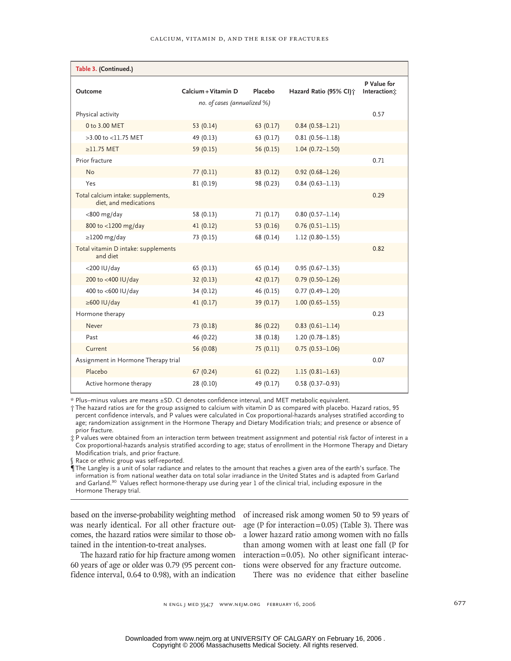| Table 3. (Continued.)                                       |                                                    |             |                        |                             |
|-------------------------------------------------------------|----------------------------------------------------|-------------|------------------------|-----------------------------|
| Outcome                                                     | Calcium + Vitamin D<br>no. of cases (annualized %) | Placebo     | Hazard Ratio (95% CI); | P Value for<br>Interaction; |
| Physical activity                                           |                                                    |             |                        | 0.57                        |
| 0 to 3.00 MET                                               | 53 $(0.14)$                                        | 63(0.17)    | $0.84(0.58 - 1.21)$    |                             |
| $>3.00$ to $<$ 11.75 MET                                    | 49 (0.13)                                          | 63 (0.17)   | $0.81(0.56 - 1.18)$    |                             |
| $\geq$ 11.75 MET                                            | 59(0.15)                                           | 56(0.15)    | $1.04(0.72 - 1.50)$    |                             |
| Prior fracture                                              |                                                    |             |                        | 0.71                        |
|                                                             |                                                    |             |                        |                             |
| <b>No</b>                                                   | 77(0.11)                                           | 83(0.12)    | $0.92(0.68 - 1.26)$    |                             |
| Yes                                                         | 81 (0.19)                                          | 98 (0.23)   | $0.84(0.63 - 1.13)$    |                             |
| Total calcium intake: supplements,<br>diet, and medications |                                                    |             |                        | 0.29                        |
| $<$ 800 mg/day                                              | 58 (0.13)                                          | 71(0.17)    | $0.80(0.57 - 1.14)$    |                             |
| 800 to <1200 mg/day                                         | 41(0.12)                                           | 53 $(0.16)$ | $0.76(0.51 - 1.15)$    |                             |
| $\geq$ 1200 mg/day                                          | 73 (0.15)                                          | 68 (0.14)   | $1.12(0.80 - 1.55)$    |                             |
| Total vitamin D intake: supplements<br>and diet             |                                                    |             |                        | 0.82                        |
| $<$ 200 IU/day                                              | 65(0.13)                                           | 65(0.14)    | $0.95(0.67 - 1.35)$    |                             |
| 200 to <400 IU/day                                          | 32(0.13)                                           | 42 (0.17)   | $0.79(0.50 - 1.26)$    |                             |
| 400 to <600 IU/day                                          | 34 (0.12)                                          | 46 (0.15)   | $0.77(0.49 - 1.20)$    |                             |
| $\geq 600$ IU/day                                           | 41 (0.17)                                          | 39 (0.17)   | $1.00(0.65 - 1.55)$    |                             |
| Hormone therapy                                             |                                                    |             |                        | 0.23                        |
| Never                                                       | 73 (0.18)                                          | 86 (0.22)   | $0.83(0.61-1.14)$      |                             |
| Past                                                        | 46 (0.22)                                          | 38 (0.18)   | $1.20(0.78 - 1.85)$    |                             |
| Current                                                     | 56 (0.08)                                          | 75(0.11)    | $0.75(0.53 - 1.06)$    |                             |
| Assignment in Hormone Therapy trial                         |                                                    |             |                        | 0.07                        |
| Placebo                                                     | 67 (0.24)                                          | 61(0.22)    | $1.15(0.81 - 1.63)$    |                             |
| Active hormone therapy                                      | 28 (0.10)                                          | 49 (0.17)   | $0.58(0.37 - 0.93)$    |                             |

\* Plus–minus values are means ±SD. CI denotes confidence interval, and MET metabolic equivalent.

† The hazard ratios are for the group assigned to calcium with vitamin D as compared with placebo. Hazard ratios, 95 percent confidence intervals, and P values were calculated in Cox proportional-hazards analyses stratified according to age; randomization assignment in the Hormone Therapy and Dietary Modification trials; and presence or absence of prior fracture.

‡ P values were obtained from an interaction term between treatment assignment and potential risk factor of interest in a Cox proportional-hazards analysis stratified according to age; status of enrollment in the Hormone Therapy and Dietary Modification trials, and prior fracture.

§ Race or ethnic group was self-reported.

 $\P$ The Langley is a unit of solar radiance and relates to the amount that reaches a given area of the earth's surface. The information is from national weather data on total solar irradiance in the United States and is adapted from Garland and Garland.<sup>30</sup> Values reflect hormone-therapy use during year 1 of the clinical trial, including exposure in the Hormone Therapy trial.

based on the inverse-probability weighting method was nearly identical. For all other fracture outcomes, the hazard ratios were similar to those obtained in the intention-to-treat analyses.

The hazard ratio for hip fracture among women 60 years of age or older was 0.79 (95 percent confidence interval, 0.64 to 0.98), with an indication

of increased risk among women 50 to 59 years of age ( $P$  for interaction = 0.05) (Table 3). There was a lower hazard ratio among women with no falls than among women with at least one fall (P for interaction = 0.05). No other significant interactions were observed for any fracture outcome.

There was no evidence that either baseline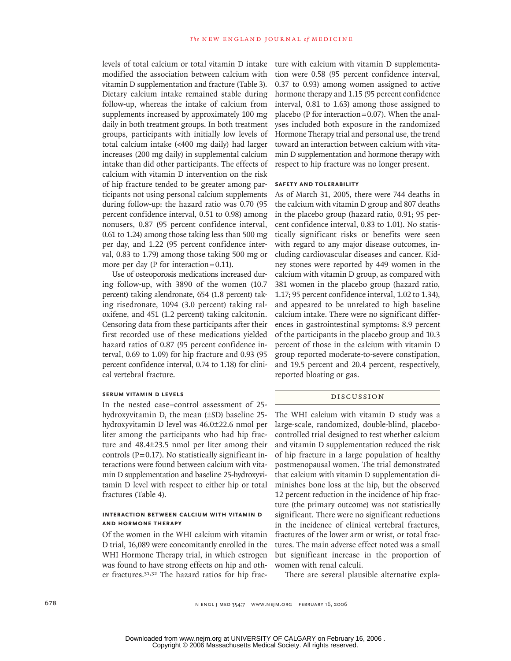levels of total calcium or total vitamin D intake modified the association between calcium with vitamin D supplementation and fracture (Table 3). Dietary calcium intake remained stable during follow-up, whereas the intake of calcium from supplements increased by approximately 100 mg daily in both treatment groups. In both treatment groups, participants with initially low levels of total calcium intake (<400 mg daily) had larger increases (200 mg daily) in supplemental calcium intake than did other participants. The effects of calcium with vitamin D intervention on the risk of hip fracture tended to be greater among participants not using personal calcium supplements during follow-up: the hazard ratio was 0.70 (95 percent confidence interval, 0.51 to 0.98) among nonusers, 0.87 (95 percent confidence interval, 0.61 to 1.24) among those taking less than 500 mg per day, and 1.22 (95 percent confidence interval, 0.83 to 1.79) among those taking 500 mg or more per day ( $P$  for interaction = 0.11).

Use of osteoporosis medications increased during follow-up, with 3890 of the women (10.7 percent) taking alendronate, 654 (1.8 percent) taking risedronate, 1094 (3.0 percent) taking raloxifene, and 451 (1.2 percent) taking calcitonin. Censoring data from these participants after their first recorded use of these medications yielded hazard ratios of 0.87 (95 percent confidence interval, 0.69 to 1.09) for hip fracture and 0.93 (95 percent confidence interval, 0.74 to 1.18) for clinical vertebral fracture.

#### **Serum Vitamin D Levels**

In the nested case–control assessment of 25 hydroxyvitamin D, the mean (±SD) baseline 25 hydroxyvitamin D level was 46.0±22.6 nmol per liter among the participants who had hip fracture and 48.4±23.5 nmol per liter among their controls ( $P = 0.17$ ). No statistically significant interactions were found between calcium with vitamin D supplementation and baseline 25-hydroxyvitamin D level with respect to either hip or total fractures (Table 4).

#### **Interaction between calcium with vitamin D and Hormone Therapy**

Of the women in the WHI calcium with vitamin D trial, 16,089 were concomitantly enrolled in the WHI Hormone Therapy trial, in which estrogen was found to have strong effects on hip and other fractures.31,32 The hazard ratios for hip fracture with calcium with vitamin D supplementation were 0.58 (95 percent confidence interval, 0.37 to 0.93) among women assigned to active hormone therapy and 1.15 (95 percent confidence interval, 0.81 to 1.63) among those assigned to placebo ( $P$  for interaction = 0.07). When the analyses included both exposure in the randomized Hormone Therapy trial and personal use, the trend toward an interaction between calcium with vitamin D supplementation and hormone therapy with respect to hip fracture was no longer present.

#### **Safety and Tolerability**

As of March 31, 2005, there were 744 deaths in the calcium with vitamin D group and 807 deaths in the placebo group (hazard ratio, 0.91; 95 percent confidence interval, 0.83 to 1.01). No statistically significant risks or benefits were seen with regard to any major disease outcomes, including cardiovascular diseases and cancer. Kidney stones were reported by 449 women in the calcium with vitamin D group, as compared with 381 women in the placebo group (hazard ratio, 1.17; 95 percent confidence interval, 1.02 to 1.34), and appeared to be unrelated to high baseline calcium intake. There were no significant differences in gastrointestinal symptoms: 8.9 percent of the participants in the placebo group and 10.3 percent of those in the calcium with vitamin D group reported moderate-to-severe constipation, and 19.5 percent and 20.4 percent, respectively, reported bloating or gas.

#### Discussion

The WHI calcium with vitamin D study was a large-scale, randomized, double-blind, placebocontrolled trial designed to test whether calcium and vitamin D supplementation reduced the risk of hip fracture in a large population of healthy postmenopausal women. The trial demonstrated that calcium with vitamin D supplementation diminishes bone loss at the hip, but the observed 12 percent reduction in the incidence of hip fracture (the primary outcome) was not statistically significant. There were no significant reductions in the incidence of clinical vertebral fractures, fractures of the lower arm or wrist, or total fractures. The main adverse effect noted was a small but significant increase in the proportion of women with renal calculi.

There are several plausible alternative expla-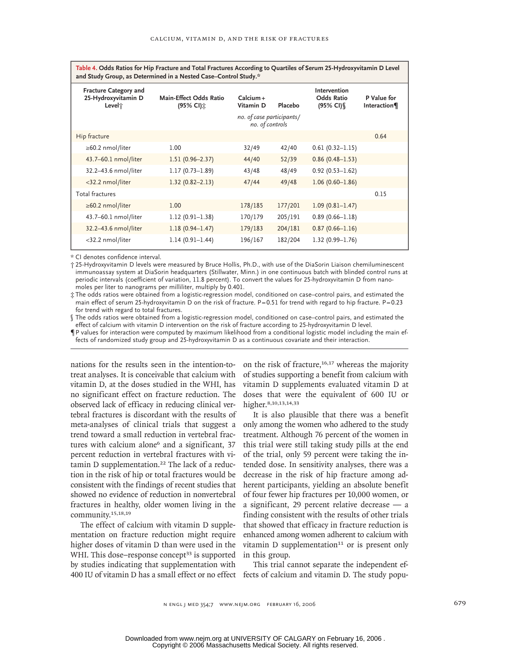| and Study Group, as Determined in a Nested Case-Control Study.*           |                                            |                                              |         |                                               |                            |
|---------------------------------------------------------------------------|--------------------------------------------|----------------------------------------------|---------|-----------------------------------------------|----------------------------|
| <b>Fracture Category and</b><br>25-Hydroxyvitamin D<br>Level <sup>*</sup> | <b>Main-Effect Odds Ratio</b><br>(95% CI): | $Calcium +$<br>Vitamin D                     | Placebo | Intervention<br><b>Odds Ratio</b><br>(95% CI) | P Value for<br>Interaction |
|                                                                           |                                            | no. of case participants/<br>no. of controls |         |                                               |                            |
| Hip fracture                                                              |                                            |                                              |         |                                               | 0.64                       |
| ≥60.2 nmol/liter                                                          | 1.00                                       | 32/49                                        | 42/40   | $0.61(0.32 - 1.15)$                           |                            |
| 43.7-60.1 nmol/liter                                                      | $1.51(0.96 - 2.37)$                        | 44/40                                        | 52/39   | $0.86(0.48 - 1.53)$                           |                            |
| 32.2-43.6 nmol/liter                                                      | $1.17(0.73 - 1.89)$                        | 43/48                                        | 48/49   | $0.92(0.53 - 1.62)$                           |                            |
| <32.2 nmol/liter                                                          | $1.32(0.82 - 2.13)$                        | 47/44                                        | 49/48   | $1.06(0.60 - 1.86)$                           |                            |
| <b>Total fractures</b>                                                    |                                            |                                              |         |                                               | 0.15                       |
| ≥60.2 nmol/liter                                                          | 1.00                                       | 178/185                                      | 177/201 | $1.09(0.81 - 1.47)$                           |                            |
| 43.7-60.1 nmol/liter                                                      | $1.12(0.91 - 1.38)$                        | 170/179                                      | 205/191 | $0.89(0.66 - 1.18)$                           |                            |
| 32.2-43.6 nmol/liter                                                      | $1.18(0.94 - 1.47)$                        | 179/183                                      | 204/181 | $0.87(0.66 - 1.16)$                           |                            |
| <32.2 nmol/liter                                                          | $1.14(0.91 - 1.44)$                        | 196/167                                      | 182/204 | $1.32(0.99 - 1.76)$                           |                            |

**Table 4. Odds Ratios for Hip Fracture and Total Fractures According to Quartiles of Serum 25-Hydroxyvitamin D Level** 

\* CI denotes confidence interval.

† 25-Hydroxyvitamin D levels were measured by Bruce Hollis, Ph.D., with use of the DiaSorin Liaison chemiluminescent immunoassay system at DiaSorin headquarters (Stillwater, Minn.) in one continuous batch with blinded control runs at periodic intervals (coefficient of variation, 11.8 percent). To convert the values for 25-hydroxyvitamin D from nanomoles per liter to nanograms per milliliter, multiply by 0.401.

‡ The odds ratios were obtained from a logistic-regression model, conditioned on case–control pairs, and estimated the main effect of serum 25-hydroxyvitamin D on the risk of fracture. P=0.51 for trend with regard to hip fracture. P=0.23 for trend with regard to total fractures.

The odds ratios were obtained from a logistic-regression model, conditioned on case-control pairs, and estimated the effect of calcium with vitamin D intervention on the risk of fracture according to 25-hydroxyvitamin D level.

¶ P values for interaction were computed by maximum likelihood from a conditional logistic model including the main effects of randomized study group and 25-hydroxyvitamin D as a continuous covariate and their interaction.

nations for the results seen in the intention-totreat analyses. It is conceivable that calcium with vitamin D, at the doses studied in the WHI, has no significant effect on fracture reduction. The observed lack of efficacy in reducing clinical vertebral fractures is discordant with the results of meta-analyses of clinical trials that suggest a trend toward a small reduction in vertebral fractures with calcium alone<sup>6</sup> and a significant, 37 percent reduction in vertebral fractures with vitamin D supplementation.<sup>22</sup> The lack of a reduction in the risk of hip or total fractures would be consistent with the findings of recent studies that showed no evidence of reduction in nonvertebral fractures in healthy, older women living in the community.15,18,19

The effect of calcium with vitamin D supplementation on fracture reduction might require higher doses of vitamin D than were used in the WHI. This dose–response concept<sup>33</sup> is supported by studies indicating that supplementation with 400 IU of vitamin D has a small effect or no effect fects of calcium and vitamin D. The study popu-

on the risk of fracture, $16,17$  whereas the majority of studies supporting a benefit from calcium with vitamin D supplements evaluated vitamin D at doses that were the equivalent of 600 IU or higher.8,10,13,14,33

It is also plausible that there was a benefit only among the women who adhered to the study treatment. Although 76 percent of the women in this trial were still taking study pills at the end of the trial, only 59 percent were taking the intended dose. In sensitivity analyses, there was a decrease in the risk of hip fracture among adherent participants, yielding an absolute benefit of four fewer hip fractures per 10,000 women, or a significant, 29 percent relative decrease — a finding consistent with the results of other trials that showed that efficacy in fracture reduction is enhanced among women adherent to calcium with vitamin D supplementation<sup>11</sup> or is present only in this group.

This trial cannot separate the independent ef-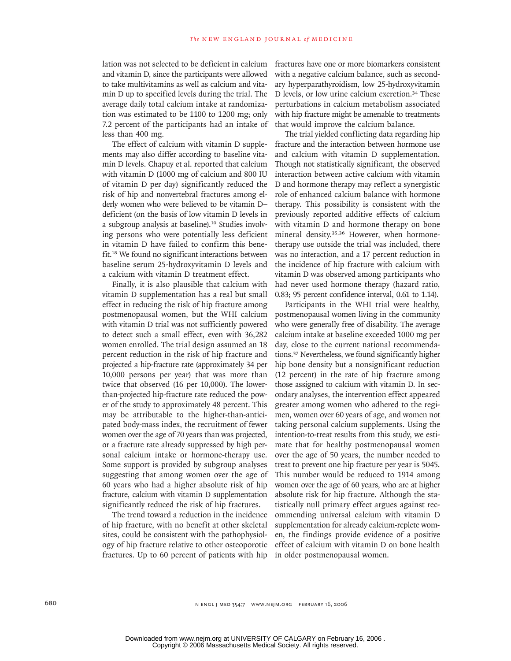lation was not selected to be deficient in calcium and vitamin D, since the participants were allowed to take multivitamins as well as calcium and vitamin D up to specified levels during the trial. The average daily total calcium intake at randomization was estimated to be 1100 to 1200 mg; only 7.2 percent of the participants had an intake of less than 400 mg.

The effect of calcium with vitamin D supplements may also differ according to baseline vitamin D levels. Chapuy et al. reported that calcium with vitamin D (1000 mg of calcium and 800 IU of vitamin D per day) significantly reduced the risk of hip and nonvertebral fractures among elderly women who were believed to be vitamin D– deficient (on the basis of low vitamin D levels in a subgroup analysis at baseline).<sup>10</sup> Studies involving persons who were potentially less deficient in vitamin D have failed to confirm this benefit.<sup>18</sup> We found no significant interactions between baseline serum 25-hydroxyvitamin D levels and a calcium with vitamin D treatment effect.

Finally, it is also plausible that calcium with vitamin D supplementation has a real but small effect in reducing the risk of hip fracture among postmenopausal women, but the WHI calcium with vitamin D trial was not sufficiently powered to detect such a small effect, even with 36,282 women enrolled. The trial design assumed an 18 percent reduction in the risk of hip fracture and projected a hip-fracture rate (approximately 34 per 10,000 persons per year) that was more than twice that observed (16 per 10,000). The lowerthan-projected hip-fracture rate reduced the power of the study to approximately 48 percent. This may be attributable to the higher-than-anticipated body-mass index, the recruitment of fewer women over the age of 70 years than was projected, or a fracture rate already suppressed by high personal calcium intake or hormone-therapy use. Some support is provided by subgroup analyses suggesting that among women over the age of 60 years who had a higher absolute risk of hip fracture, calcium with vitamin D supplementation significantly reduced the risk of hip fractures.

The trend toward a reduction in the incidence of hip fracture, with no benefit at other skeletal sites, could be consistent with the pathophysiology of hip fracture relative to other osteoporotic fractures. Up to 60 percent of patients with hip

fractures have one or more biomarkers consistent with a negative calcium balance, such as secondary hyperparathyroidism, low 25-hydroxyvitamin D levels, or low urine calcium excretion.<sup>34</sup> These perturbations in calcium metabolism associated with hip fracture might be amenable to treatments that would improve the calcium balance.

The trial yielded conflicting data regarding hip fracture and the interaction between hormone use and calcium with vitamin D supplementation. Though not statistically significant, the observed interaction between active calcium with vitamin D and hormone therapy may reflect a synergistic role of enhanced calcium balance with hormone therapy. This possibility is consistent with the previously reported additive effects of calcium with vitamin D and hormone therapy on bone mineral density.<sup>35,36</sup> However, when hormonetherapy use outside the trial was included, there was no interaction, and a 17 percent reduction in the incidence of hip fracture with calcium with vitamin D was observed among participants who had never used hormone therapy (hazard ratio, 0.83; 95 percent confidence interval, 0.61 to 1.14).

Participants in the WHI trial were healthy, postmenopausal women living in the community who were generally free of disability. The average calcium intake at baseline exceeded 1000 mg per day, close to the current national recommendations.<sup>37</sup> Nevertheless, we found significantly higher hip bone density but a nonsignificant reduction (12 percent) in the rate of hip fracture among those assigned to calcium with vitamin D. In secondary analyses, the intervention effect appeared greater among women who adhered to the regimen, women over 60 years of age, and women not taking personal calcium supplements. Using the intention-to-treat results from this study, we estimate that for healthy postmenopausal women over the age of 50 years, the number needed to treat to prevent one hip fracture per year is 5045. This number would be reduced to 1914 among women over the age of 60 years, who are at higher absolute risk for hip fracture. Although the statistically null primary effect argues against recommending universal calcium with vitamin D supplementation for already calcium-replete women, the findings provide evidence of a positive effect of calcium with vitamin D on bone health in older postmenopausal women.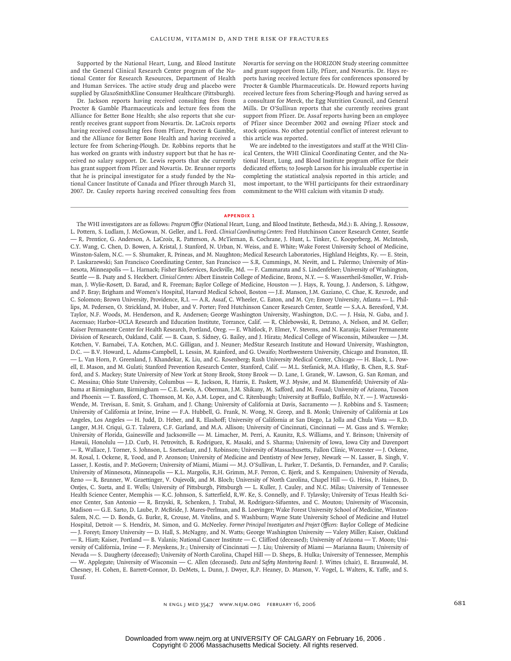Supported by the National Heart, Lung, and Blood Institute and the General Clinical Research Center program of the National Center for Research Resources, Department of Health and Human Services. The active study drug and placebo were supplied by Glaxo Smith Kline Consumer Healthcare (Pittsburgh).

Dr. Jackson reports having received consulting fees from Procter & Gamble Pharmaceuticals and lecture fees from the Alliance for Better Bone Health; she also reports that she currently receives grant support from Novartis. Dr. LaCroix reports having received consulting fees from Pfizer, Procter & Gamble, and the Alliance for Better Bone Health and having received a lecture fee from Schering-Plough. Dr. Robbins reports that he has worked on grants with industry support but that he has received no salary support. Dr. Lewis reports that she currently has grant support from Pfizer and Novartis. Dr. Brunner reports that he is principal investigator for a study funded by the National Cancer Institute of Canada and Pfizer through March 31, 2007. Dr. Cauley reports having received consulting fees from Novartis for serving on the HORIZON Study steering committee and grant support from Lilly, Pfizer, and Novartis. Dr. Hays reports having received lecture fees for conferences sponsored by Procter & Gamble Pharmaceuticals. Dr. Howard reports having received lecture fees from Schering-Plough and having served as a consultant for Merck, the Egg Nutrition Council, and General Mills. Dr O'Sullivan reports that she currently receives grant support from Pfizer. Dr. Assaf reports having been an employee of Pfizer since December 2002 and owning Pfizer stock and stock options. No other potential conflict of interest relevant to this article was reported.

We are indebted to the investigators and staff at the WHI Clinical Centers, the WHI Clinical Coordinating Center, and the National Heart, Lung, and Blood Institute program office for their dedicated efforts; to Joseph Larson for his invaluable expertise in completing the statistical analysis reported in this article; and most important, to the WHI participants for their extraordinary commitment to the WHI calcium with vitamin D study.

#### **APPENDIX 1**

The WHI investigators are as follows: *Program Office* (National Heart, Lung, and Blood Institute, Bethesda, Md.): B. Alving, J. Rossouw, L. Pottern, S. Ludlam, J. McGowan, N. Geller, and L. Ford. *Clinical Coordinating Centers:* Fred Hutchinson Cancer Research Center, Seattle — R. Prentice, G. Anderson, A. LaCroix, R. Patterson, A. McTiernan, B. Cochrane, J. Hunt, L. Tinker, C. Kooperberg, M. McIntosh, C.Y. Wang, C. Chen, D. Bowen, A. Kristal, J. Stanford, N. Urban, N. Weiss, and E. White; Wake Forest University School of Medicine, Winston-Salem, N.C. — S. Shumaker, R. Prineas, and M. Naughton; Medical Research Laboratories, Highland Heights, Ky. — E. Stein, P. Laskarzewski; San Francisco Coordinating Center, San Francisco — S.R. Cummings, M. Nevitt, and L. Palermo; University of Minnesota, Minneapolis — L. Harnack; Fisher BioServices, Rockville, Md. — F. Cammarata and S. Lindenfelser; University of Washington, Seattle — B. Psaty and S. Heckbert. *Clinical Centers:* Albert Einstein College of Medicine, Bronx, N.Y. — S. Wassertheil-Smoller, W. Frishman, J. Wylie-Rosett, D. Barad, and R. Freeman; Baylor College of Medicine, Houston — J. Hays, R. Young, J. Anderson, S. Lithgow, and P. Bray; Brigham and Women's Hospital, Harvard Medical School, Boston — J.E. Manson, J.M. Gaziano, C. Chae, K. Rexrode, and C. Solomon; Brown University, Providence, R.I. — A.R. Assaf, C. Wheeler, C. Eaton, and M. Cyr; Emory University, Atlanta — L. Phillips, M. Pedersen, O. Strickland, M. Huber, and V. Porter; Fred Hutchinson Cancer Research Center, Seattle — S.A.A. Beresford, V.M. Taylor, N.F. Woods, M. Henderson, and R. Andersen; George Washington University, Washington, D.C. — J. Hsia, N. Gaba, and J. Ascensao; Harbor–UCLA Research and Education Institute, Torrance, Calif. — R. Chlebowski, R. Detrano, A. Nelson, and M. Geller; Kaiser Permanente Center for Health Research, Portland, Oreg. — E. Whitlock, P. Elmer, V. Stevens, and N. Karanja; Kaiser Permanente Division of Research, Oakland, Calif. — B. Caan, S. Sidney, G. Bailey, and J. Hirata; Medical College of Wisconsin, Milwaukee — J.M. Kotchen, V. Barnabei, T.A. Kotchen, M.C. Gilligan, and J. Neuner; MedStar Research Institute and Howard University, Washington, D.C. — B.V. Howard, L. Adams-Campbell, L. Lessin, M. Rainford, and G. Uwaifo; Northwestern University, Chicago and Evanston, Ill. — L. Van Horn, P. Greenland, J. Khandekar, K. Liu, and C. Rosenberg; Rush University Medical Center, Chicago — H. Black, L. Powell, E. Mason, and M. Gulati; Stanford Prevention Research Center, Stanford, Calif. — M.L. Stefanick, M.A. Hlatky, B. Chen, R.S. Stafford, and S. Mackey; State University of New York at Stony Brook, Stony Brook — D. Lane, I. Granek, W. Lawson, G. San Roman, and C. Messina; Ohio State University, Columbus — R. Jackson, R. Harris, E. Paskett, W.J. Mysiw, and M. Blumenfeld; University of Alabama at Birmingham, Birmingham — C.E. Lewis, A. Oberman, J.M. Shikany, M. Safford, and M. Fouad; University of Arizona, Tucson and Phoenix — T. Bassford, C. Thomson, M. Ko, A.M. Lopez, and C. Ritenbaugh; University at Buffalo, Buffalo, N.Y. — J. Wactawski-Wende, M. Trevisan, E. Smit, S. Graham, and J. Chang; University of California at Davis, Sacramento — J. Robbins and S. Yasmeen; University of California at Irvine, Irvine — F.A. Hubbell, G. Frank, N. Wong, N. Greep, and B. Monk; University of California at Los Angeles, Los Angeles — H. Judd, D. Heber, and R. Elashoff; University of California at San Diego, La Jolla and Chula Vista — R.D. Langer, M.H. Criqui, G.T. Talavera, C.F. Garland, and M.A. Allison; University of Cincinnati, Cincinnati - M. Gass and S. Wernke; University of Florida, Gainesville and Jacksonville — M. Limacher, M. Perri, A. Kaunitz, R.S. Williams, and Y. Brinson; University of Hawaii, Honolulu — J.D. Curb, H. Petrovitch, B. Rodriguez, K. Masaki, and S. Sharma; University of Iowa, Iowa City and Davenport — R. Wallace, J. Torner, S. Johnson, L. Snetselaar, and J. Robinson; University of Massachusetts, Fallon Clinic, Worcester — J. Ockene, M. Rosal, I. Ockene, R. Yood, and P. Aronson; University of Medicine and Dentistry of New Jersey, Newark — N. Lasser, B. Singh, V. Lasser, J. Kostis, and P. McGovern; University of Miami, Miami — M.J. O'Sullivan, L. Parker, T. DeSantis, D. Fernandez, and P. Caralis; University of Minnesota, Minneapolis — K.L. Margolis, R.H. Grimm, M.F. Perron, C. Bjerk, and S. Kempainen; University of Nevada, Reno — R. Brunner, W. Graettinger, V. Oujevolk, and M. Bloch; University of North Carolina, Chapel Hill — G. Heiss, P. Haines, D. Ontjes, C. Sueta, and E. Wells; University of Pittsburgh, Pittsburgh — L. Kuller, J. Cauley, and N.C. Milas; University of Tennessee Health Science Center, Memphis — K.C. Johnson, S. Satterfield, R.W. Ke, S. Connelly, and F. Tylavsky; University of Texas Health Science Center, San Antonio — R. Brzyski, R. Schenken, J. Trabal, M. Rodriguez-Sifuentes, and C. Mouton; University of Wisconsin, Madison — G.E. Sarto, D. Laube, P. McBride, J. Mares-Perlman, and B. Loevinger; Wake Forest University School of Medicine, Winston-Salem, N.C. — D. Bonds, G. Burke, R. Crouse, M. Vitolins, and S. Washburn; Wayne State University School of Medicine and Hutzel Hospital, Detroit — S. Hendrix, M. Simon, and G. McNeeley. *Former Principal Investigators and Project Officers:* Baylor College of Medicine — J. Foreyt; Emory University — D. Hall, S. McNagny, and N. Watts; George Washington University — Valery Miller; Kaiser, Oakland — R. Hiatt; Kaiser, Portland — B. Valanis; National Cancer Institute — C. Clifford (deceased); University of Arizona — T. Moon; University of California, Irvine — F. Meyskens, Jr.; University of Cincinnati — J. Liu; University of Miami — Marianna Baum; University of Nevada — S. Daugherty (deceased); University of North Carolina, Chapel Hill — D. Sheps, B. Hulka; University of Tennessee, Memphis — W. Applegate; University of Wisconsin — C. Allen (deceased). *Data and Safety Monitoring Board:* J. Wittes (chair), E. Braunwald, M. Chesney, H. Cohen, E. Barrett-Connor, D. DeMets, L. Dunn, J. Dwyer, R.P. Heaney, D. Marson, V. Vogel, L. Walters, K. Yaffe, and S. Yusuf.

n engl j med 354;7 www.nejm.org february 16, 2006 681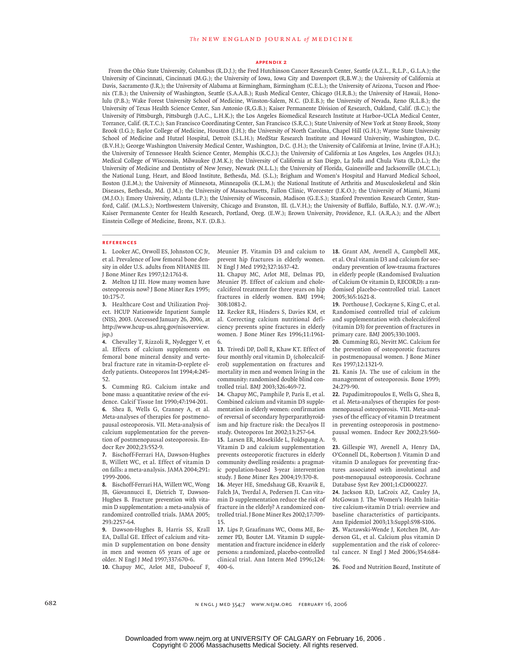#### **The NEW ENGLAND JOURNAL of MEDICINE**

#### **APPENDIX 2**

From the Ohio State University, Columbus (R.D.J.); the Fred Hutchinson Cancer Research Center, Seattle (A.Z.L., R.L.P., G.L.A.); the University of Cincinnati, Cincinnati (M.G.); the University of Iowa, Iowa City and Davenport (R.B.W.); the University of California at Davis, Sacramento (J.R.); the University of Alabama at Birmingham, Birmingham (C.E.L.); the University of Arizona, Tucson and Phoenix (T.B.); the University of Washington, Seattle (S.A.A.B.); Rush Medical Center, Chicago (H.R.B.); the University of Hawaii, Honolulu (P.B.); Wake Forest University School of Medicine, Winston-Salem, N.C. (D.E.B.); the University of Nevada, Reno (R.L.B.); the University of Texas Health Science Center, San Antonio (R.G.B.); Kaiser Permanente Division of Research, Oakland, Calif. (B.C.); the University of Pittsburgh, Pittsburgh (J.A.C., L.H.K.); the Los Angeles Biomedical Research Institute at Harbor–UCLA Medical Center, Torrance, Calif. (R.T.C.); San Francisco Coordinating Center, San Francisco (S.R.C.); State University of New York at Stony Brook, Stony Brook (I.G.); Baylor College of Medicine, Houston (J.H.); the University of North Carolina, Chapel Hill (G.H.); Wayne State University School of Medicine and Hutzel Hospital, Detroit (S.L.H.); MedStar Research Institute and Howard University, Washington, D.C. (B.V.H.); George Washington University Medical Center, Washington, D.C. (J.H.); the University of California at Irvine, Irvine (F.A.H.); the University of Tennessee Health Science Center, Memphis (K.C.J.); the University of California at Los Angeles, Los Angeles (H.J.); Medical College of Wisconsin, Milwaukee (J.M.K.); the University of California at San Diego, La Jolla and Chula Vista (R.D.L.); the University of Medicine and Dentistry of New Jersey, Newark (N.L.L.); the University of Florida, Gainesville and Jacksonville (M.C.L.); the National Lung, Heart, and Blood Institute, Bethesda, Md. (S.L.); Brigham and Women's Hospital and Harvard Medical School, Boston (J.E.M.); the University of Minnesota, Minneapolis (K.L.M.); the National Institute of Arthritis and Musculoskeletal and Skin Diseases, Bethesda, Md. (J.M.); the University of Massachusetts, Fallon Clinic, Worcester (J.K.O.); the University of Miami, Miami (M.J.O.); Emory University, Atlanta (L.P.); the University of Wisconsin, Madison (G.E.S.); Stanford Prevention Research Center, Stanford, Calif. (M.L.S.); Northwestern University, Chicago and Evanston, Ill. (L.V.H.); the University of Buffalo, Buffalo, N.Y. (J.W.-W.); Kaiser Permanente Center for Health Research, Portland, Oreg. (E.W.); Brown University, Providence, R.I. (A.R.A.); and the Albert Einstein College of Medicine, Bronx, N.Y. (D.B.).

#### **References**

Looker AC, Orwoll ES, Johnston CC Jr, **1.** et al. Prevalence of low femoral bone density in older U.S. adults from NHANES III. J Bone Miner Res 1997;12:1761-8.

Melton LJ III. How many women have **2.** osteoporosis now? J Bone Miner Res 1995; 10:175-7.

Healthcare Cost and Utilization Proj-**3.** ect. HCUP Nationwide Inpatient Sample (NIS), 2003. (Accessed January 26, 2006, at http://www.hcup-us.ahrq.gov/nisoverview. jsp.)

Chevalley T, Rizzoli R, Nydegger V, et **4.** al. Effects of calcium supplements on femoral bone mineral density and vertebral fracture rate in vitamin-D-replete elderly patients. Osteoporos Int 1994;4:245- 52.

Cumming RG. Calcium intake and **5.** bone mass: a quantitative review of the evidence. Calcif Tissue Int 1990;47:194-201. **6.** Shea B, Wells G, Cranney A, et al. Meta-analyses of therapies for postmenopausal osteoporosis. VII. Meta-analysis of

calcium supplementation for the prevention of postmenopausal osteoporosis. Endocr Rev 2002;23:552-9.

Bischoff-Ferrari HA, Dawson-Hughes **7.** B, Willett WC, et al. Effect of vitamin D on falls: a meta-analysis. JAMA 2004;291: 1999-2006.

Bischoff-Ferrari HA, Willett WC, Wong **8.** JB, Giovannucci E, Dietrich T, Dawson-Hughes B. Fracture prevention with vitamin D supplementation: a meta-analysis of randomized controlled trials. JAMA 2005; 293:2257-64.

**9.** Dawson-Hughes B, Harris SS, Krall EA, Dallal GE. Effect of calcium and vitamin D supplementation on bone density in men and women 65 years of age or older. N Engl J Med 1997;337:670-6.

10. Chapuy MC, Arlot ME, Duboeuf F,

Meunier PJ. Vitamin D3 and calcium to prevent hip fractures in elderly women. N Engl J Med 1992;327:1637-42.

11. Chapuy MC, Arlot ME, Delmas PD, Meunier PJ. Effect of calcium and cholecalciferol treatment for three years on hip fractures in elderly women. BMJ 1994; 308:1081-2.

12. Recker RR, Hinders S, Davies KM, et al. Correcting calcium nutritional deficiency prevents spine fractures in elderly women. J Bone Miner Res 1996;11:1961- 6.

13. Trivedi DP, Doll R, Khaw KT. Effect of four monthly oral vitamin  $D_{3}$  (cholecalciferol) supplementation on fractures and mortality in men and women living in the community: randomised double blind controlled trial. BMJ 2003;326:469-72.

Chapuy MC, Pamphile P, Paris E, et al. **14.** Combined calcium and vitamin D3 supplementation in elderly women: confirmation of reversal of secondary hyperparathyroidism and hip fracture risk: the Decalyos II study. Osteoporos Int 2002;13:257-64.

Larsen ER, Mosekilde L, Foldspang A. **15.** Vitamin D and calcium supplementation prevents osteoporotic fractures in elderly community dwelling residents: a pragmatic population-based 3-year intervention study. J Bone Miner Res 2004;19:370-8.

16. Meyer HE, Smedshaug GB, Kvaavik E, Falch JA, Tverdal A, Pedersen JI. Can vitamin D supplementation reduce the risk of fracture in the elderly? A randomized controlled trial. J Bone Miner Res 2002;17:709- 15.

17. Lips P, Graafmans WC, Ooms ME, Bezemer PD, Bouter LM. Vitamin D supplementation and fracture incidence in elderly persons: a randomized, placebo-controlled clinical trial. Ann Intern Med 1996;124: 400-6.

Grant AM, Avenell A, Campbell MK, **18.** et al. Oral vitamin D3 and calcium for secondary prevention of low-trauma fractures in elderly people (Randomised Evaluation of Calcium Or vitamin D, RECORD): a randomised placebo-controlled trial. Lancet 2005;365:1621-8.

19. Porthouse J, Cockayne S, King C, et al. Randomised controlled trial of calcium and supplementation with cholecalciferol (vitamin D3) for prevention of fractures in primary care. BMJ 2005;330:1003.

20. Cumming RG, Nevitt MC. Calcium for the prevention of osteoporotic fractures in postmenopausal women. J Bone Miner Res 1997;12:1321-9.

**21.** Kanis JA. The use of calcium in the management of osteoporosis. Bone 1999; 24:279-90.

Papadimitropoulos E, Wells G, Shea B, **22.** et al. Meta-analyses of therapies for postmenopausal osteoporosis. VIII. Meta-analyses of the efficacy of vitamin D treatment in preventing osteoporosis in postmenopausal women. Endocr Rev 2002;23:560- 9.

Gillespie WJ, Avenell A, Henry DA, **23.** O'Connell DL, Robertson J. Vitamin D and vitamin D analogues for preventing fractures associated with involutional and post-menopausal osteoporosis. Cochrane Database Syst Rev 2001;1:CD000227.

Jackson RD, LaCroix AZ, Cauley JA, **24.** McGowan J. The Women's Health Initiative calcium-vitamin D trial: overview and baseline characteristics of participants. Ann Epidemiol 2003;13:Suppl:S98-S106.

Wactawski-Wende J, Kotchen JM, An-**25.** derson GL, et al. Calcium plus vitamin D supplementation and the risk of colorectal cancer. N Engl J Med 2006;354:684- 96.

Food and Nutrition Board, Institute of **26.**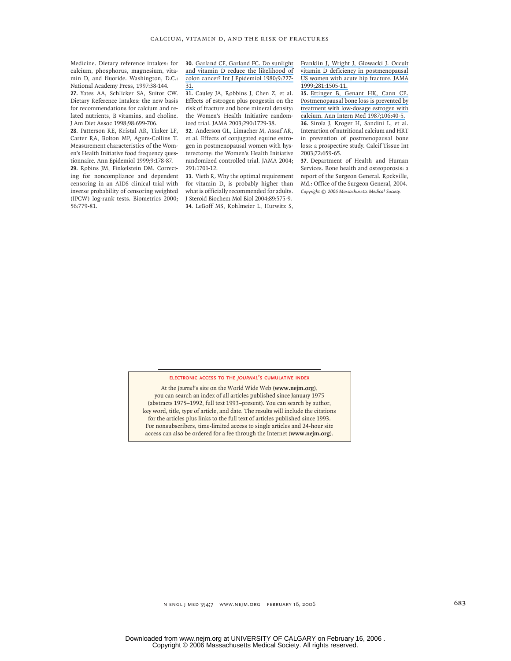Medicine. Dietary reference intakes: for [Garland CF, Garland FC. Do sunlight](https://www.researchgate.net/publication/15759147_Do_Sunlight_and_Vitamin_D_Reduce_the_Likelihood_of_Colon_Cancer?el=1_x_8&enrichId=rgreq-5e1d76f5c351ae594c8e58e10fef8da5-XXX&enrichSource=Y292ZXJQYWdlOzcyOTQ3MDg7QVM6OTcyNDQ4MDQwMjYzNjhAMTQwMDE5NjM3NjE2Mw==)  **30.** calcium, phosphorus, magnesium, vitamin D, and fluoride. Washington, D.C.: National Academy Press, 1997:38-144.

27. Yates AA, Schlicker SA, Suitor CW. Dietary Reference Intakes: the new basis for recommendations for calcium and related nutrients, B vitamins, and choline. J Am Diet Assoc 1998;98:699-706.

28. Patterson RE, Kristal AR, Tinker LF, Carter RA, Bolton MP, Agurs-Collins T. Measurement characteristics of the Women's Health Initiative food frequency questionnaire. Ann Epidemiol 1999;9:178-87.

29. Robins JM, Finkelstein DM. Correcting for noncompliance and dependent censoring in an AIDS clinical trial with inverse probability of censoring weighted (IPCW) log-rank tests. Biometrics 2000; 56:779-81.

[and vitamin D reduce the likelihood of](https://www.researchgate.net/publication/15759147_Do_Sunlight_and_Vitamin_D_Reduce_the_Likelihood_of_Colon_Cancer?el=1_x_8&enrichId=rgreq-5e1d76f5c351ae594c8e58e10fef8da5-XXX&enrichSource=Y292ZXJQYWdlOzcyOTQ3MDg7QVM6OTcyNDQ4MDQwMjYzNjhAMTQwMDE5NjM3NjE2Mw==) [colon cancer? Int J Epidemiol 1980;9:227-](https://www.researchgate.net/publication/15759147_Do_Sunlight_and_Vitamin_D_Reduce_the_Likelihood_of_Colon_Cancer?el=1_x_8&enrichId=rgreq-5e1d76f5c351ae594c8e58e10fef8da5-XXX&enrichSource=Y292ZXJQYWdlOzcyOTQ3MDg7QVM6OTcyNDQ4MDQwMjYzNjhAMTQwMDE5NjM3NjE2Mw==) [31.](https://www.researchgate.net/publication/15759147_Do_Sunlight_and_Vitamin_D_Reduce_the_Likelihood_of_Colon_Cancer?el=1_x_8&enrichId=rgreq-5e1d76f5c351ae594c8e58e10fef8da5-XXX&enrichSource=Y292ZXJQYWdlOzcyOTQ3MDg7QVM6OTcyNDQ4MDQwMjYzNjhAMTQwMDE5NjM3NjE2Mw==)

Cauley JA, Robbins J, Chen Z, et al. **31.** Effects of estrogen plus progestin on the risk of fracture and bone mineral density: the Women's Health Initiative randomized trial. JAMA 2003;290:1729-38.

Anderson GL, Limacher M, Assaf AR, **32.** et al. Effects of conjugated equine estrogen in postmenopausal women with hysterectomy: the Women's Health Initiative randomized controlled trial. JAMA 2004; 291:1701-12.

33. Vieth R. Why the optimal requirement for vitamin  $D_3$  is probably higher than what is officially recommended for adults. J Steroid Biochem Mol Biol 2004;89:575-9. 34. LeBoff MS, Kohlmeier L, Hurwitz S, [Franklin J, Wright J, Glowacki J. Occult](https://www.researchgate.net/publication/13071792_Occult_Vitamin_D_deficiency_in_postmenopausal_US_women_with_acute_hip_fracture?el=1_x_8&enrichId=rgreq-5e1d76f5c351ae594c8e58e10fef8da5-XXX&enrichSource=Y292ZXJQYWdlOzcyOTQ3MDg7QVM6OTcyNDQ4MDQwMjYzNjhAMTQwMDE5NjM3NjE2Mw==)  [vitamin D deficiency in postmenopausal](https://www.researchgate.net/publication/13071792_Occult_Vitamin_D_deficiency_in_postmenopausal_US_women_with_acute_hip_fracture?el=1_x_8&enrichId=rgreq-5e1d76f5c351ae594c8e58e10fef8da5-XXX&enrichSource=Y292ZXJQYWdlOzcyOTQ3MDg7QVM6OTcyNDQ4MDQwMjYzNjhAMTQwMDE5NjM3NjE2Mw==) [US women with acute hip fracture. JAMA](https://www.researchgate.net/publication/13071792_Occult_Vitamin_D_deficiency_in_postmenopausal_US_women_with_acute_hip_fracture?el=1_x_8&enrichId=rgreq-5e1d76f5c351ae594c8e58e10fef8da5-XXX&enrichSource=Y292ZXJQYWdlOzcyOTQ3MDg7QVM6OTcyNDQ4MDQwMjYzNjhAMTQwMDE5NjM3NjE2Mw==)  [1999;281:1505-11.](https://www.researchgate.net/publication/13071792_Occult_Vitamin_D_deficiency_in_postmenopausal_US_women_with_acute_hip_fracture?el=1_x_8&enrichId=rgreq-5e1d76f5c351ae594c8e58e10fef8da5-XXX&enrichSource=Y292ZXJQYWdlOzcyOTQ3MDg7QVM6OTcyNDQ4MDQwMjYzNjhAMTQwMDE5NjM3NjE2Mw==)

[Ettinger B, Genant HK, Cann CE.](https://www.researchgate.net/publication/19371513_Postmenopausal_bone_loss_is_prevented_by_low_dose_estrogen_with_calcium?el=1_x_8&enrichId=rgreq-5e1d76f5c351ae594c8e58e10fef8da5-XXX&enrichSource=Y292ZXJQYWdlOzcyOTQ3MDg7QVM6OTcyNDQ4MDQwMjYzNjhAMTQwMDE5NjM3NjE2Mw==) **35.** [Postmenopausal bone loss is prevented by](https://www.researchgate.net/publication/19371513_Postmenopausal_bone_loss_is_prevented_by_low_dose_estrogen_with_calcium?el=1_x_8&enrichId=rgreq-5e1d76f5c351ae594c8e58e10fef8da5-XXX&enrichSource=Y292ZXJQYWdlOzcyOTQ3MDg7QVM6OTcyNDQ4MDQwMjYzNjhAMTQwMDE5NjM3NjE2Mw==)  [treatment with low-dosage estrogen with](https://www.researchgate.net/publication/19371513_Postmenopausal_bone_loss_is_prevented_by_low_dose_estrogen_with_calcium?el=1_x_8&enrichId=rgreq-5e1d76f5c351ae594c8e58e10fef8da5-XXX&enrichSource=Y292ZXJQYWdlOzcyOTQ3MDg7QVM6OTcyNDQ4MDQwMjYzNjhAMTQwMDE5NjM3NjE2Mw==)  [calcium. Ann Intern Med 1987;106:40-5.](https://www.researchgate.net/publication/19371513_Postmenopausal_bone_loss_is_prevented_by_low_dose_estrogen_with_calcium?el=1_x_8&enrichId=rgreq-5e1d76f5c351ae594c8e58e10fef8da5-XXX&enrichSource=Y292ZXJQYWdlOzcyOTQ3MDg7QVM6OTcyNDQ4MDQwMjYzNjhAMTQwMDE5NjM3NjE2Mw==) Sirola J, Kroger H, Sandini L, et al. **36.** Interaction of nutritional calcium and HRT in prevention of postmenopausal bone loss: a prospective study. Calcif Tissue Int 2003;72:659-65.

37. Department of Health and Human Services. Bone health and osteoporosis: a report of the Surgeon General. Rockville, Md.: Office of the Surgeon General, 2004. *Copyright © 2006 Massachusetts Medical Society.*

#### **ELECTRONIC ACCESS TO THE** *JOURNAL***'S CUMULATIVE INDEX**

At the *Journal*'s site on the World Wide Web (**www.nejm.org**), you can search an index of all articles published since January 1975 (abstracts 1975–1992, full text 1993–present). You can search by author, key word, title, type of article, and date. The results will include the citations for the articles plus links to the full text of articles published since 1993. For nonsubscribers, time-limited access to single articles and 24-hour site access can also be ordered for a fee through the Internet (**www.nejm.org**).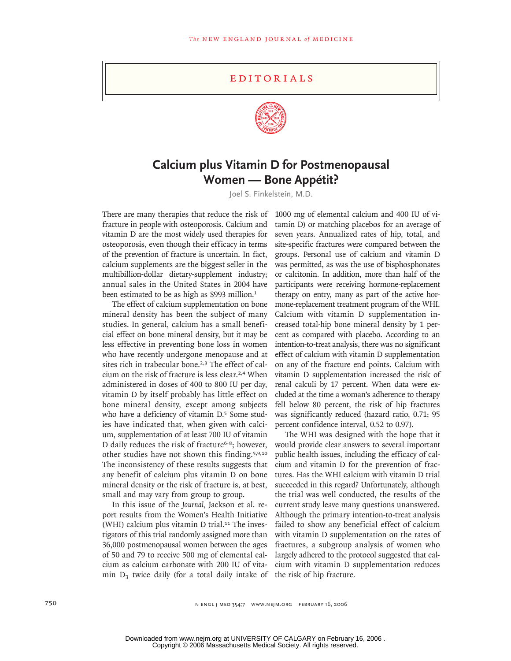### **EDITORIALS**



### **Calcium plus Vitamin D for Postmenopausal Women — Bone Appétit?**

Joel S. Finkelstein, M.D.

There are many therapies that reduce the risk of fracture in people with osteoporosis. Calcium and vitamin D are the most widely used therapies for osteoporosis, even though their efficacy in terms of the prevention of fracture is uncertain. In fact, calcium supplements are the biggest seller in the multibillion-dollar dietary-supplement industry; annual sales in the United States in 2004 have been estimated to be as high as \$993 million.<sup>1</sup>

The effect of calcium supplementation on bone mineral density has been the subject of many studies. In general, calcium has a small beneficial effect on bone mineral density, but it may be less effective in preventing bone loss in women who have recently undergone menopause and at sites rich in trabecular bone.<sup>2,3</sup> The effect of calcium on the risk of fracture is less clear.2,4 When administered in doses of 400 to 800 IU per day, vitamin D by itself probably has little effect on bone mineral density, except among subjects who have a deficiency of vitamin D.<sup>5</sup> Some studies have indicated that, when given with calcium, supplementation of at least 700 IU of vitamin D daily reduces the risk of fracture<sup>6-8</sup>; however, other studies have not shown this finding.5,9,10 The inconsistency of these results suggests that any benefit of calcium plus vitamin D on bone mineral density or the risk of fracture is, at best, small and may vary from group to group.

In this issue of the *Journal,* Jackson et al. report results from the Women's Health Initiative (WHI) calcium plus vitamin D trial. $11$  The investigators of this trial randomly assigned more than 36,000 postmenopausal women between the ages of 50 and 79 to receive 500 mg of elemental calcium as calcium carbonate with 200 IU of vitamin  $D_3$  twice daily (for a total daily intake of the risk of hip fracture.

1000 mg of elemental calcium and 400 IU of vitamin D) or matching placebos for an average of seven years. Annualized rates of hip, total, and site-specific fractures were compared between the groups. Personal use of calcium and vitamin D was permitted, as was the use of bisphosphonates or calcitonin. In addition, more than half of the participants were receiving hormone-replacement therapy on entry, many as part of the active hormone-replacement treatment program of the WHI. Calcium with vitamin D supplementation increased total-hip bone mineral density by 1 percent as compared with placebo. According to an intention-to-treat analysis, there was no significant effect of calcium with vitamin D supplementation on any of the fracture end points. Calcium with vitamin D supplementation increased the risk of renal calculi by 17 percent. When data were excluded at the time a woman's adherence to therapy fell below 80 percent, the risk of hip fractures was significantly reduced (hazard ratio, 0.71; 95 percent confidence interval, 0.52 to 0.97).

The WHI was designed with the hope that it would provide clear answers to several important public health issues, including the efficacy of calcium and vitamin D for the prevention of fractures. Has the WHI calcium with vitamin D trial succeeded in this regard? Unfortunately, although the trial was well conducted, the results of the current study leave many questions unanswered. Although the primary intention-to-treat analysis failed to show any beneficial effect of calcium with vitamin D supplementation on the rates of fractures, a subgroup analysis of women who largely adhered to the protocol suggested that calcium with vitamin D supplementation reduces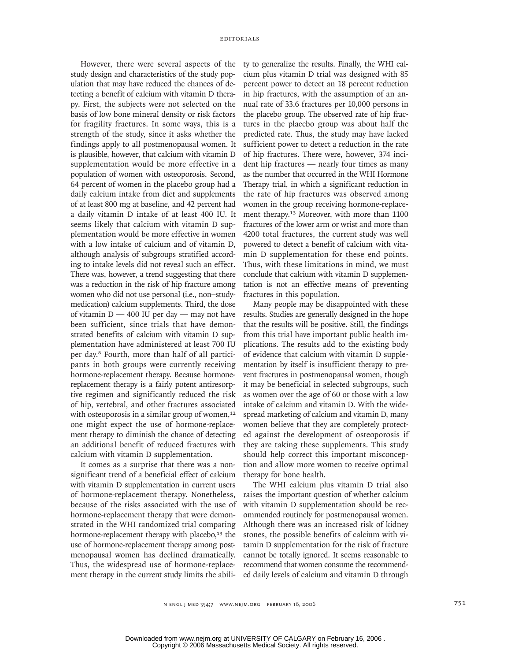However, there were several aspects of the study design and characteristics of the study population that may have reduced the chances of detecting a benefit of calcium with vitamin D therapy. First, the subjects were not selected on the basis of low bone mineral density or risk factors for fragility fractures. In some ways, this is a strength of the study, since it asks whether the findings apply to all postmenopausal women. It is plausible, however, that calcium with vitamin D supplementation would be more effective in a population of women with osteoporosis. Second, 64 percent of women in the placebo group had a daily calcium intake from diet and supplements of at least 800 mg at baseline, and 42 percent had a daily vitamin D intake of at least 400 IU. It seems likely that calcium with vitamin D supplementation would be more effective in women with a low intake of calcium and of vitamin D, although analysis of subgroups stratified according to intake levels did not reveal such an effect. There was, however, a trend suggesting that there was a reduction in the risk of hip fracture among women who did not use personal (i.e., non–studymedication) calcium supplements. Third, the dose of vitamin  $D - 400$  IU per day — may not have been sufficient, since trials that have demonstrated benefits of calcium with vitamin D supplementation have administered at least 700 IU per day.<sup>8</sup> Fourth, more than half of all participants in both groups were currently receiving hormone-replacement therapy. Because hormonereplacement therapy is a fairly potent antiresorptive regimen and significantly reduced the risk of hip, vertebral, and other fractures associated with osteoporosis in a similar group of women, $12$ one might expect the use of hormone-replacement therapy to diminish the chance of detecting an additional benefit of reduced fractures with calcium with vitamin D supplementation.

It comes as a surprise that there was a nonsignificant trend of a beneficial effect of calcium with vitamin D supplementation in current users of hormone-replacement therapy. Nonetheless, because of the risks associated with the use of hormone-replacement therapy that were demonstrated in the WHI randomized trial comparing hormone-replacement therapy with placebo, $13$  the use of hormone-replacement therapy among postmenopausal women has declined dramatically. Thus, the widespread use of hormone-replacement therapy in the current study limits the ability to generalize the results. Finally, the WHI calcium plus vitamin D trial was designed with 85 percent power to detect an 18 percent reduction in hip fractures, with the assumption of an annual rate of 33.6 fractures per 10,000 persons in the placebo group. The observed rate of hip fractures in the placebo group was about half the predicted rate. Thus, the study may have lacked sufficient power to detect a reduction in the rate of hip fractures. There were, however, 374 incident hip fractures — nearly four times as many as the number that occurred in the WHI Hormone Therapy trial, in which a significant reduction in the rate of hip fractures was observed among women in the group receiving hormone-replacement therapy.<sup>13</sup> Moreover, with more than 1100 fractures of the lower arm or wrist and more than 4200 total fractures, the current study was well powered to detect a benefit of calcium with vitamin D supplementation for these end points. Thus, with these limitations in mind, we must conclude that calcium with vitamin D supplementation is not an effective means of preventing fractures in this population.

Many people may be disappointed with these results. Studies are generally designed in the hope that the results will be positive. Still, the findings from this trial have important public health implications. The results add to the existing body of evidence that calcium with vitamin D supplementation by itself is insufficient therapy to prevent fractures in postmenopausal women, though it may be beneficial in selected subgroups, such as women over the age of 60 or those with a low intake of calcium and vitamin D. With the widespread marketing of calcium and vitamin D, many women believe that they are completely protected against the development of osteoporosis if they are taking these supplements. This study should help correct this important misconception and allow more women to receive optimal therapy for bone health.

The WHI calcium plus vitamin D trial also raises the important question of whether calcium with vitamin D supplementation should be recommended routinely for postmenopausal women. Although there was an increased risk of kidney stones, the possible benefits of calcium with vitamin D supplementation for the risk of fracture cannot be totally ignored. It seems reasonable to recommend that women consume the recommended daily levels of calcium and vitamin D through